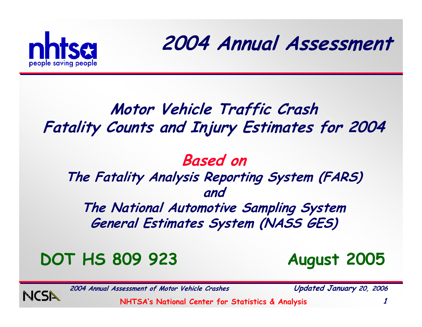

**2004 Annual Assessment**

#### **Motor Vehicle Traffic Crash Fatality Counts and Injury Estimates for 2004**

#### **Based on The Fatality Analysis Reporting System (FARS) and The National Automotive Sampling System**

**General Estimates System (NASS GES)**

#### **DOT HS 809 923 August 2005**

**2004 Annual Assessment of Motor Vehicle Crashes Updated January 20, 2006**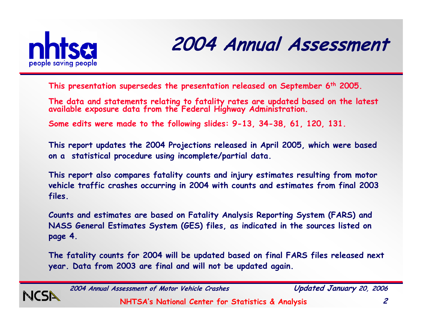

#### **2004 Annual Assessment**

**This presentation supersedes the presentation released on September 6th 2005.**

**The data and statements relating to fatality rates are updated based on the latest available exposure data from the Federal Highway Administration.**

**Some edits were made to the following slides: 9-13, 34-38, 61, 120, 131.**

**This report updates the 2004 Projections released in April 2005, which were based on a statistical procedure using incomplete/partial data.** 

**This report also compares fatality counts and injury estimates resulting from motor vehicle traffic crashes occurring in 2004 with counts and estimates from final 2003 files.** 

**Counts and estimates are based on Fatality Analysis Reporting System (FARS) and NASS General Estimates System (GES) files, as indicated in the sources listed on page 4.** 

**The fatality counts for 2004 will be updated based on final FARS files released next year. Data from 2003 are final and will not be updated again.**



**2004 Annual Assessment of Motor Vehicle Crashes Updated January 20, 2006**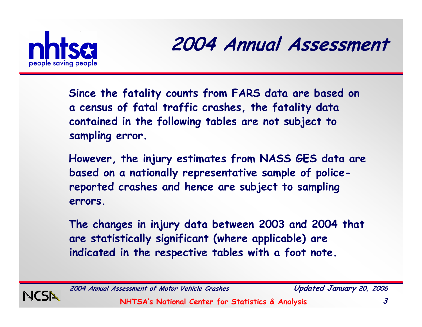

#### **2004 Annual Assessment**

**Since the fatality counts from FARS data are based on a census of fatal traffic crashes, the fatality data contained in the following tables are not subject to sampling error.**

**However, the injury estimates from NASS GES data are based on a nationally representative sample of policereported crashes and hence are subject to sampling errors.**

**The changes in injury data between 2003 and 2004 that are statistically significant (where applicable) are indicated in the respective tables with a foot note.**



**2004 Annual Assessment of Motor Vehicle Crashes Updated January 20, 2006**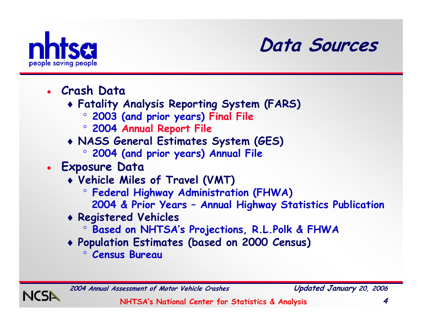

#### **Data Sources**

- **Crash Data**
	- ♦ **Fatality Analysis Reporting System (FARS)** 
		- $\circ$ **2003 (and prior years) Final File**
		- ° **2004 Annual Report File**
	- ♦ **NASS General Estimates System (GES)**
		- $\circ$ **2004 (and prior years) Annual File**
- **Exposure Data** 
	- ♦ **Vehicle Miles of Travel (VMT)**
		- $\circ$ **Federal Highway Administration (FHWA)**
		- **2004 & Prior Years – Annual Highway Statistics Publication**
	- ♦ **Registered Vehicles**
		- °**Based on NHTSA's Projections, R.L.Polk & FHWA**
	- ♦ **Population Estimates (based on 2000 Census)** 
		- ° **Census Bureau**

**2004 Annual Assessment of Motor Vehicle Crashes Updated January 20, 2006**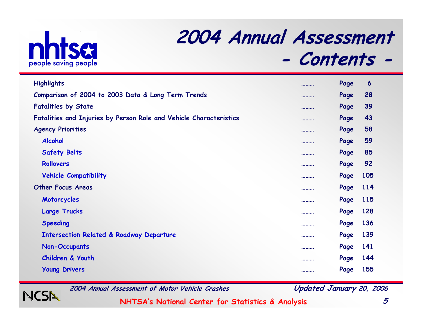

NCSN

#### **2004 Annual Assessment - Contents -**

| <b>Highlights</b>                                                  | <br>Page | 6          |
|--------------------------------------------------------------------|----------|------------|
| Comparison of 2004 to 2003 Data & Long Term Trends                 | <br>Page | 28         |
| <b>Fatalities by State</b>                                         | <br>Page | 39         |
| Fatalities and Injuries by Person Role and Vehicle Characteristics | <br>Page | 43         |
| <b>Agency Priorities</b>                                           | <br>Page | 58         |
| <b>Alcohol</b>                                                     | <br>Page | 59         |
| <b>Safety Belts</b>                                                | <br>Page | 85         |
| Rollovers                                                          | <br>Page | 92         |
| <b>Vehicle Compatibility</b>                                       | <br>Page | 105        |
| <b>Other Focus Areas</b>                                           | <br>Page | <b>114</b> |
| Motorcycles                                                        | <br>Page | <b>115</b> |
| <b>Large Trucks</b>                                                | <br>Page | 128        |
| <b>Speeding</b>                                                    | <br>Page | 136        |
| <b>Intersection Related &amp; Roadway Departure</b>                | <br>Page | 139        |
| <b>Non-Occupants</b>                                               | <br>Page | 141        |
| <b>Children &amp; Youth</b>                                        | <br>Page | 144        |
| <b>Young Drivers</b>                                               | <br>Page | 155        |

**2004 Annual Assessment of Motor Vehicle Crashes Updated January 20, 2006**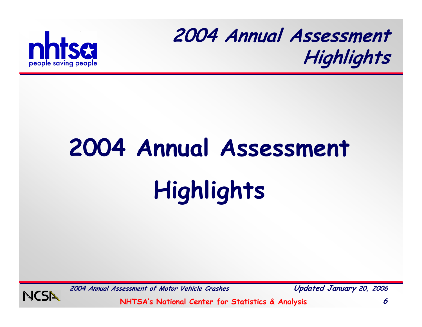

# **2004 Annual Assessment Highlights**



**2004 Annual Assessment of Motor Vehicle Crashes Updated January 20, 2006**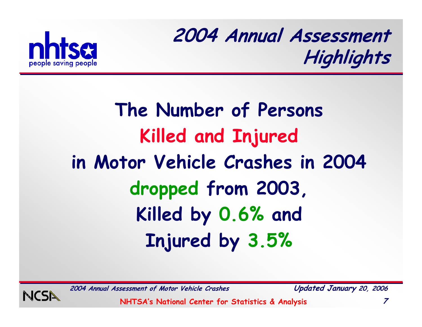

# **The Number of Persons Killed and Injured in Motor Vehicle Crashes in 2004 dropped from 2003, Killed by 0.6% and Injured by 3.5%**



**2004 Annual Assessment of Motor Vehicle Crashes Updated January 20, 2006**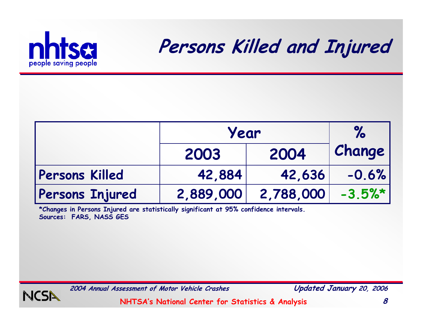

#### **Persons Killed and Injured**

|                       | Year         |           | $\%$    |
|-----------------------|--------------|-----------|---------|
|                       | 2004<br>2003 |           | Change  |
| <b>Persons Killed</b> | 42,884       | 42,636    | $-0.6%$ |
| Persons Injured       | 2,889,000    | 2,788,000 | $-3.5%$ |

**\*Changes in Persons Injured are statistically significant at 95% confidence intervals. Sources: FARS, NASS GES**



**2004 Annual Assessment of Motor Vehicle Crashes Updated January 20, 2006**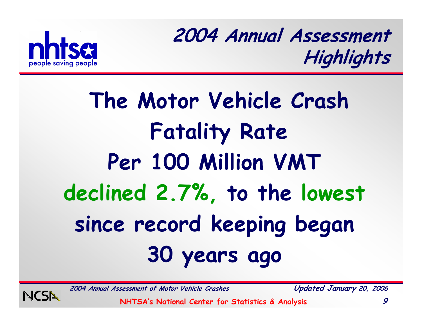

# **The Motor Vehicle Crash Fatality Rate Per 100 Million VMT declined 2.7%, to the lowest since record keeping began 30 years ago**

**2004 Annual Assessment of Motor Vehicle Crashes Updated January 20, 2006**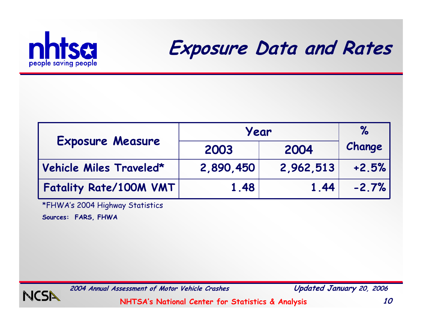

**Exposure Data and Rates**

|                         | Year      | $\%$      |         |
|-------------------------|-----------|-----------|---------|
| <b>Exposure Measure</b> | 2003      | 2004      | Change  |
| Vehicle Miles Traveled* | 2,890,450 | 2,962,513 | $+2.5%$ |
| Fatality Rate/100M VMT  | 1.48      | 1.44      | $-2.7%$ |

\*FHWA's 2004 Highway Statistics

**Sources: FARS, FHWA**



**2004 Annual Assessment of Motor Vehicle Crashes Updated January 20, 2006**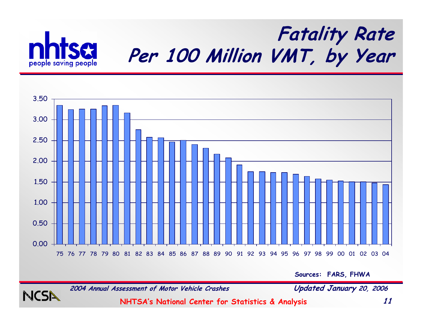

**NCS** 

#### **Fatality Rate Per 100 Million VMT, by Year**



**Sources: FARS, FHWA**

**2004 Annual Assessment of Motor Vehicle Crashes Updated January 20, 2006**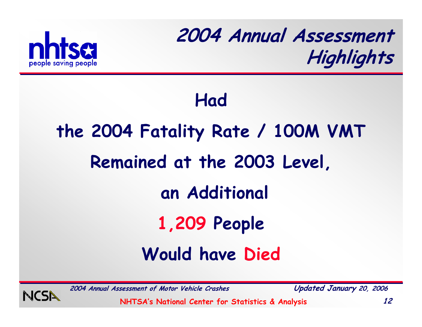

#### **Had**

# **the 2004 Fatality Rate / 100M VMT Remained at the 2003 Level, an Additional 1,209 People Would have Died**



**2004 Annual Assessment of Motor Vehicle Crashes Updated January 20, 2006**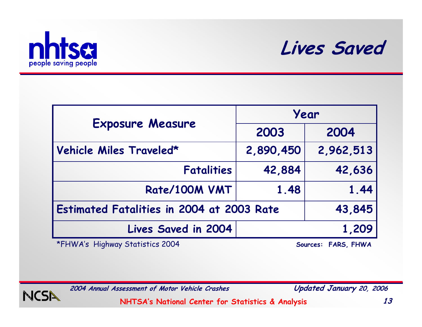



|                                                  | Year      |           |  |
|--------------------------------------------------|-----------|-----------|--|
| <b>Exposure Measure</b>                          | 2003      | 2004      |  |
| Vehicle Miles Traveled*                          | 2,890,450 | 2,962,513 |  |
| <b>Fatalities</b>                                | 42,884    | 42,636    |  |
| Rate/100M VMT                                    | 1.48      | 1.44      |  |
| <b>Estimated Fatalities in 2004 at 2003 Rate</b> |           | 43,845    |  |
| <b>Lives Saved in 2004</b>                       |           | 1,209     |  |

\*FHWA's Highway Statistics 2004 **Sources: FARS, FHWA**



**2004 Annual Assessment of Motor Vehicle Crashes Updated January 20, 2006**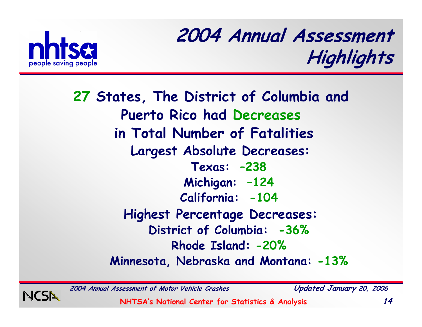

**27 States, The District of Columbia and Puerto Rico had Decreases in Total Number of Fatalities Largest Absolute Decreases: Texas: –238 Michigan: –124 California: -104 Highest Percentage Decreases: District of Columbia: -36% Rhode Island: -20%Minnesota, Nebraska and Montana: -13%**

**2004 Annual Assessment of Motor Vehicle Crashes Updated January 20, 2006**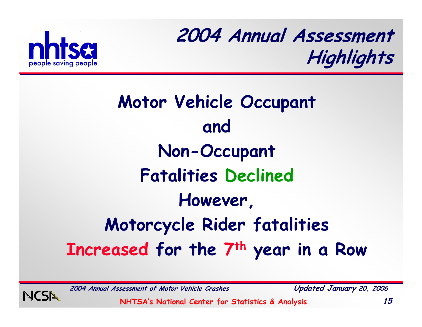

# **Motor Vehicle Occupant and Non-Occupant Fatalities Declined However, Motorcycle Rider fatalities Increased for the 7th year in a Row**



**2004 Annual Assessment of Motor Vehicle Crashes Updated January 20, 2006**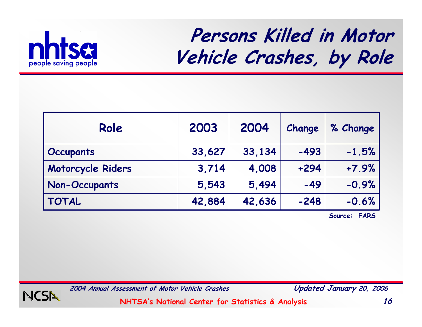

#### **Persons Killed in Motor Vehicle Crashes, by Role**

| Role                 | 2003   | 2004   | Change | % Change |
|----------------------|--------|--------|--------|----------|
| <b>Occupants</b>     | 33,627 | 33,134 | $-493$ | $-1.5%$  |
| Motorcycle Riders    | 3,714  | 4,008  | $+294$ | $+7.9%$  |
| <b>Non-Occupants</b> | 5,543  | 5,494  | $-49$  | $-0.9%$  |
| <b>TOTAL</b>         | 42,884 | 42,636 | $-248$ | $-0.6%$  |

**Source: FARS**



**2004 Annual Assessment of Motor Vehicle Crashes Updated January 20, 2006**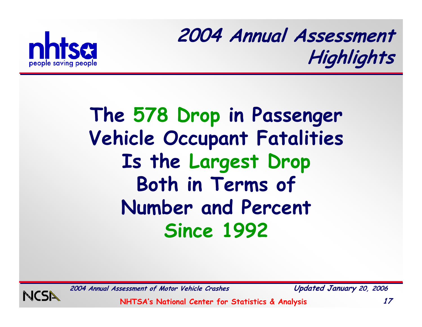

### **The 578 Drop in Passenger Vehicle Occupant Fatalities Is the Largest Drop Both in Terms of Number and Percent Since 1992**



**2004 Annual Assessment of Motor Vehicle Crashes Updated January 20, 2006**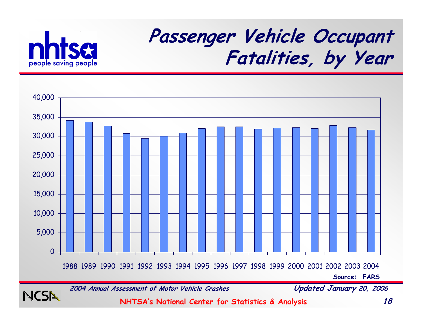

**NCSN** 

### **Passenger Vehicle Occupant Fatalities, by Year**



**2004 Annual Assessment of Motor Vehicle Crashes Updated January 20, 2006**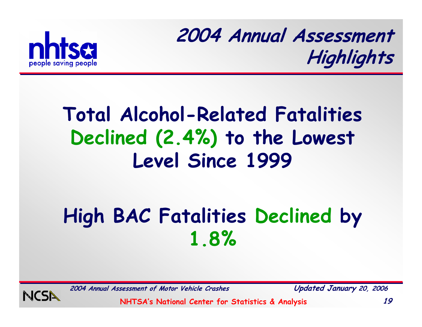

### **Total Alcohol-Related Fatalities Declined (2.4%) to the Lowest Level Since 1999**

# **High BAC Fatalities Declined by 1.8%**



**2004 Annual Assessment of Motor Vehicle Crashes Updated January 20, 2006**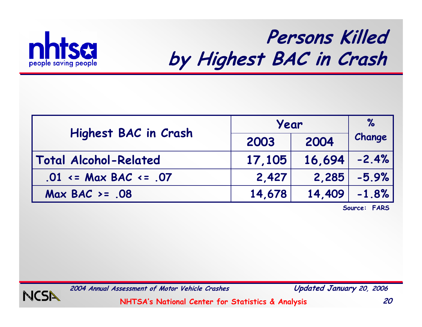

#### **Persons Killed by Highest BAC in Crash**

|                               | Year   |        | $\%$    |
|-------------------------------|--------|--------|---------|
| <b>Highest BAC in Crash</b>   | 2003   | 2004   | Change  |
| <b>Total Alcohol-Related</b>  | 17,105 | 16,694 | $-2.4%$ |
| $.01 \leq Max$ BAC $\leq .07$ | 2,427  | 2,285  | $-5.9%$ |
| $Max BAC > = .08$             | 14,678 | 14,409 | $-1.8%$ |

**Source: FARS**



**2004 Annual Assessment of Motor Vehicle Crashes Updated January 20, 2006**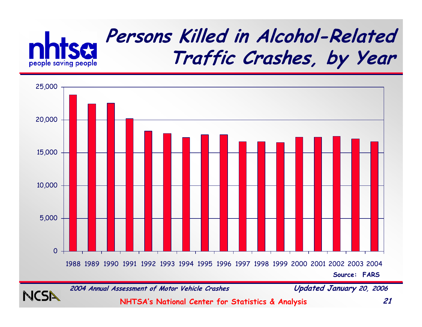



**2004 Annual Assessment of Motor Vehicle Crashes Updated January 20, 2006**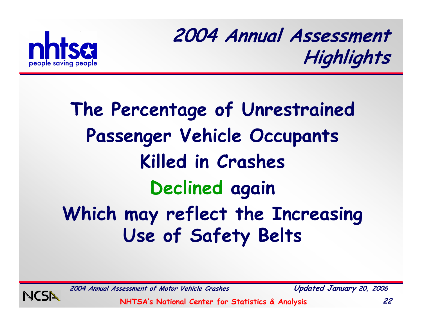

# **The Percentage of Unrestrained Passenger Vehicle Occupants Killed in Crashes Declined again Which may reflect the Increasing Use of Safety Belts**



**2004 Annual Assessment of Motor Vehicle Crashes Updated January 20, 2006**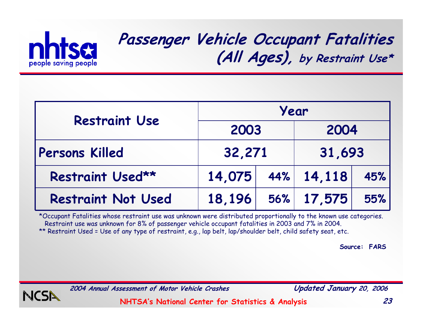

#### **Passenger Vehicle Occupant Fatalities (All Ages), by Restraint Use\***

| <b>Restraint Use</b>      | Year   |  |                 |     |
|---------------------------|--------|--|-----------------|-----|
|                           | 2003   |  | 2004            |     |
| Persons Killed            | 32,271 |  | 31,693          |     |
| Restraint Used**          | 14,075 |  | $ 44\% $ 14,118 | 45% |
| <b>Restraint Not Used</b> | 18,196 |  | 56% 17,575      | 55% |

\*Occupant Fatalities whose restraint use was unknown were distributed proportionally to the known use categories. Restraint use was unknown for 8% of passenger vehicle occupant fatalities in 2003 and 7% in 2004. \*\* Restraint Used = Use of any type of restraint, e.g., lap belt, lap/shoulder belt, child safety seat, etc.

**Source: FARS**



**2004 Annual Assessment of Motor Vehicle Crashes Updated January 20, 2006**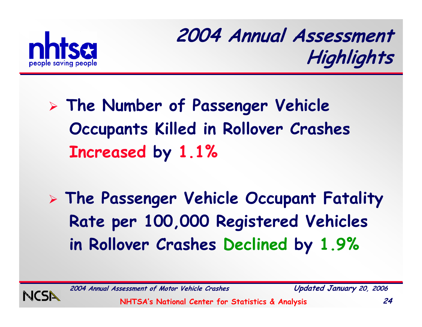

- ¾ **The Number of Passenger Vehicle Occupants Killed in Rollover Crashes Increased by 1.1%**
- ¾ **The Passenger Vehicle Occupant Fatality Rate per 100,000 Registered Vehicles in Rollover Crashes Declined by 1.9%**



**2004 Annual Assessment of Motor Vehicle Crashes Updated January 20, 2006**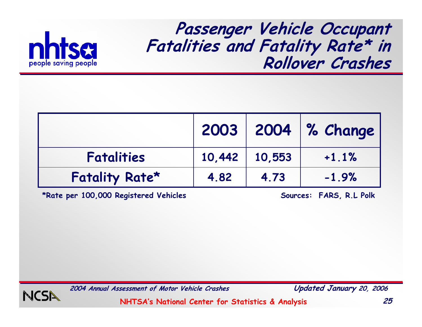

**Passenger Vehicle Occupant Fatalities and Fatality Rate\* in Rollover Crashes**

|                   |      |                     | 2003   2004   % Change |
|-------------------|------|---------------------|------------------------|
| <b>Fatalities</b> |      | $10,442$   $10,553$ | $+1.1%$                |
| Fatality Rate*    | 4.82 | 4.73                | $-1.9%$                |

**\*Rate per 100,000 Registered Vehicles Sources: FARS, R.L Polk**



**2004 Annual Assessment of Motor Vehicle Crashes Updated January 20, 2006**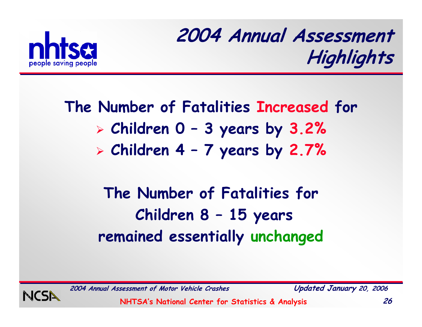

#### **The Number of Fatalities Increased for** ¾ **Children 0 – 3 years by 3.2%** ¾ **Children 4 – 7 years by 2.7%**

#### **The Number of Fatalities for Children 8 – 15 years remained essentially unchanged**



**2004 Annual Assessment of Motor Vehicle Crashes Updated January 20, 2006**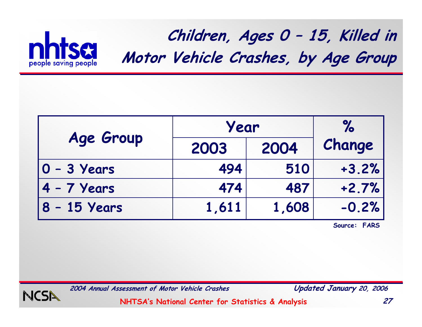

**Children, Ages 0 – 15, Killed in Motor Vehicle Crashes, by Age Group**

|                | Year  |       |         |  | $\%$ |
|----------------|-------|-------|---------|--|------|
| Age Group      | 2003  | 2004  | Change  |  |      |
| $ 0 - 3$ Years | 494   | 510   | $+3.2%$ |  |      |
| $4 - 7$ Years  | 474   | 487   | $+2.7%$ |  |      |
| 8 - 15 Years   | 1,611 | 1,608 | $-0.2%$ |  |      |

**Source: FARS**



**2004 Annual Assessment of Motor Vehicle Crashes Updated January 20, 2006**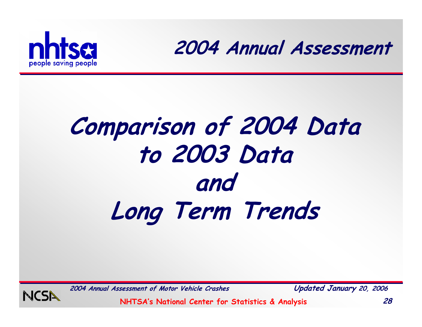



# **Comparison of 2004 Data to 2003 Data and Long Term Trends**



**2004 Annual Assessment of Motor Vehicle Crashes Updated January 20, 2006**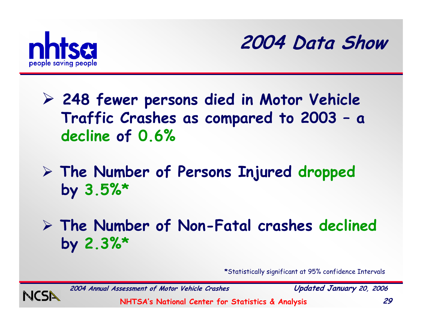



- ¾ **248 fewer persons died in Motor Vehicle Traffic Crashes as compared to 2003 – <sup>a</sup> decline of 0.6%**
- ¾ **The Number of Persons Injured dropped by 3.5%\***
- ¾ **The Number of Non-Fatal crashes declined by 2.3%\***

**\***Statistically significant at 95% confidence Intervals



**2004 Annual Assessment of Motor Vehicle Crashes Updated January 20, 2006**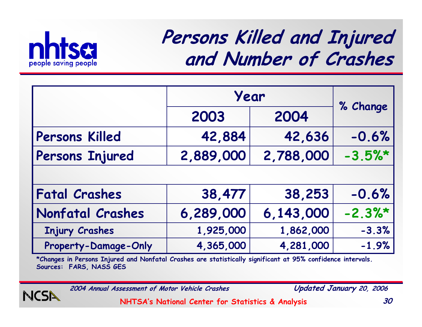

#### **Persons Killed and Injured and Number of Crashes**

|                         | Year      |           |          |
|-------------------------|-----------|-----------|----------|
|                         | 2003      | 2004      | % Change |
| <b>Persons Killed</b>   | 42,884    | 42,636    | $-0.6%$  |
| Persons Injured         | 2,889,000 | 2,788,000 | $-3.5%$  |
|                         |           |           |          |
| <b>Fatal Crashes</b>    | 38,477    | 38,253    | $-0.6%$  |
| <b>Nonfatal Crashes</b> | 6,289,000 | 6,143,000 | $-2.3%$  |
| <b>Injury Crashes</b>   | 1,925,000 | 1,862,000 | $-3.3%$  |
| Property-Damage-Only    | 4,365,000 | 4,281,000 | $-1.9%$  |

**\*Changes in Persons Injured and Nonfatal Crashes are statistically significant at 95% confidence intervals. Sources: FARS, NASS GES**



**2004 Annual Assessment of Motor Vehicle Crashes Updated January 20, 2006**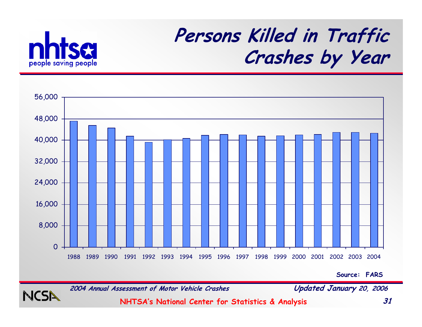

NCSI

#### **Persons Killed in Traffic Crashes by Year**



**Source: FARS**

**2004 Annual Assessment of Motor Vehicle Crashes Updated January 20, 2006**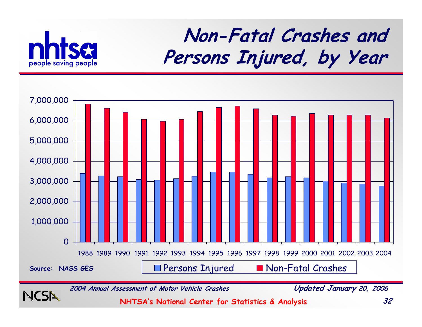

#### **Non-Fatal Crashes and Persons Injured, by Year**

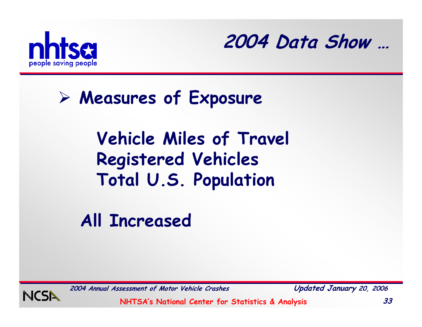



#### ¾ **Measures of Exposure**

#### **Vehicle Miles of Travel Registered Vehicles Total U.S. Population**

**All Increased**



**2004 Annual Assessment of Motor Vehicle Crashes Updated January 20, 2006**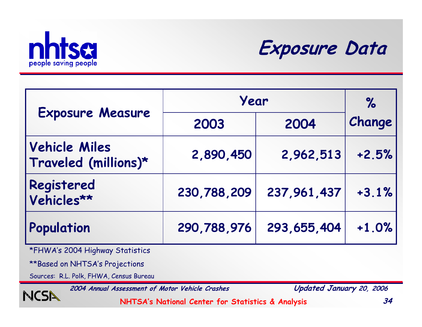



| <b>Exposure Measure</b>                      | Year        | $\%$          |         |
|----------------------------------------------|-------------|---------------|---------|
|                                              | 2003        | 2004          | Change  |
| <b>Vehicle Miles</b><br>Traveled (millions)* | 2,890,450   | 2,962,513     | $+2.5%$ |
| Registered<br>Vehicles**                     | 230,788,209 | 237,961,437   | $+3.1%$ |
| Population                                   | 290,788,976 | 293, 655, 404 | $+1.0%$ |

\*FHWA's 2004 Highway Statistics

\*\*Based on NHTSA's Projections

NCSN

Sources: R.L. Polk, FHWA, Census Bureau

**2004 Annual Assessment of Motor Vehicle Crashes Updated January 20, 2006**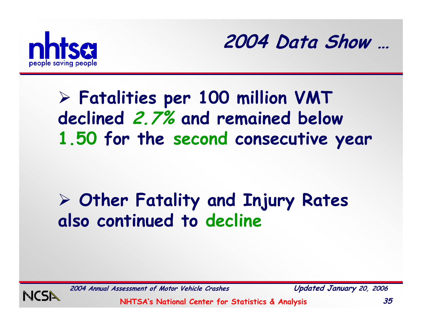



#### ¾ **Fatalities per 100 million VMT declined 2.7% and remained below 1.50 for the second consecutive year**

#### ¾ **Other Fatality and Injury Rates also continued to decline**



**2004 Annual Assessment of Motor Vehicle Crashes Updated January 20, 2006**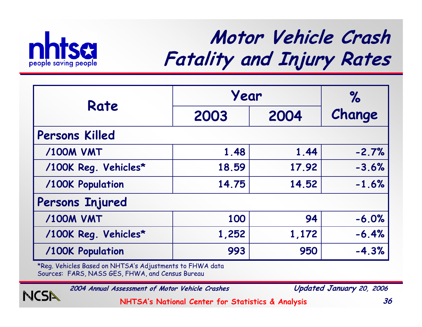

**NCSN** 

### **Motor Vehicle Crash Fatality and Injury Rates**

|                       | Year  | $\%$  |         |  |  |  |  |
|-----------------------|-------|-------|---------|--|--|--|--|
| Rate<br>2003          |       | 2004  | Change  |  |  |  |  |
| <b>Persons Killed</b> |       |       |         |  |  |  |  |
| <b>/100M VMT</b>      | 1.48  | 1.44  | $-2.7%$ |  |  |  |  |
| /100K Reg. Vehicles*  | 18.59 | 17.92 | $-3.6%$ |  |  |  |  |
| /100K Population      | 14.75 | 14.52 | $-1.6%$ |  |  |  |  |
| Persons Injured       |       |       |         |  |  |  |  |
| <b>/100M VMT</b>      | 100   | 94    | $-6.0%$ |  |  |  |  |
| /100K Reg. Vehicles*  | 1,252 | 1,172 | $-6.4%$ |  |  |  |  |
| /100K Population      | 993   | 950   | $-4.3%$ |  |  |  |  |

\*Reg. Vehicles Based on NHTSA's Adjustments to FHWA data Sources: FARS, NASS GES, FHWA, and Census Bureau

**2004 Annual Assessment of Motor Vehicle Crashes Updated January 20, 2006**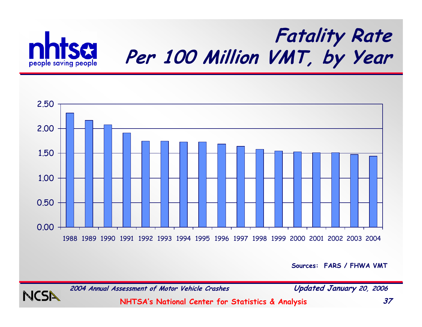

#### **Fatality Rate Per 100 Million VMT, by Year**



**Sources: FARS / FHWA VMT**

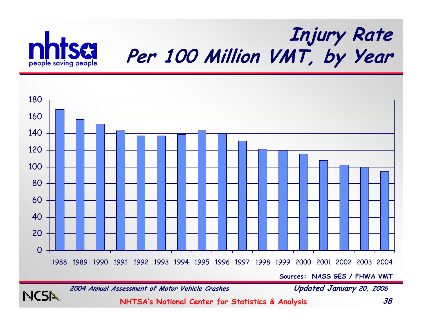

**NCSI** 

#### **Injury Rate Per 100 Million VMT, by Year**



**2004 Annual Assessment of Motor Vehicle Crashes Updated January 20, 2006**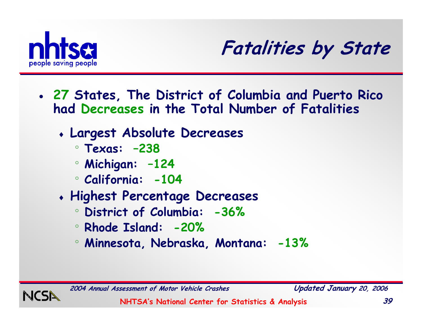



- **27 States, The District of Columbia and Puerto Rico had Decreases in the Total Number of Fatalities**
	- ♦ **Largest Absolute Decreases**
		- ° **Texas: –238**
		- ° **Michigan: –124**
		- ° **California: -104**
	- ♦ **Highest Percentage Decreases**
		- ° **District of Columbia: -36%**
		- ° **Rhode Island: -20%**
		- ° **Minnesota, Nebraska, Montana: -13%**

**2004 Annual Assessment of Motor Vehicle Crashes Updated January 20, 2006**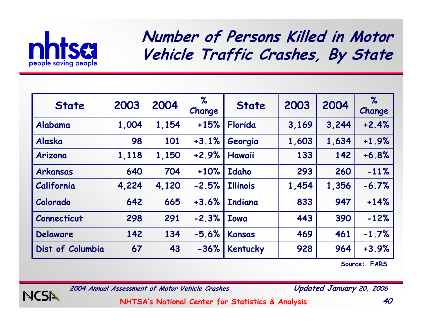

**Number of Persons Killed in Motor Vehicle Traffic Crashes, By State**

| <b>State</b>     | 2003  | 2004  | %<br>Change | <b>State</b>    | 2003  | 2004  | $\%$<br>Change |
|------------------|-------|-------|-------------|-----------------|-------|-------|----------------|
| Alabama          | 1,004 | 1,154 | $+15%$      | Florida         | 3,169 | 3,244 | $+2.4%$        |
| Alaska           | 98    | 101   | $+3.1%$     | Georgia         | 1,603 | 1,634 | $+1.9%$        |
| Arizona          | 1,118 | 1,150 | $+2.9%$     | Hawaii          | 133   | 142   | $+6.8%$        |
| Arkansas         | 640   | 704   | $+10%$      | <b>Idaho</b>    | 293   | 260   | $-11%$         |
| California       | 4,224 | 4,120 | $-2.5%$     | <b>Illinois</b> | 1,454 | 1,356 | $-6.7%$        |
| Colorado         | 642   | 665   | $+3.6%$     | <b>Indiana</b>  | 833   | 947   | $+14%$         |
| Connecticut      | 298   | 291   | $-2.3%$     | <b>Towa</b>     | 443   | 390   | $-12%$         |
| <b>Delaware</b>  | 142   | 134   | $-5.6%$     | <b>Kansas</b>   | 469   | 461   | $-1.7%$        |
| Dist of Columbia | 67    | 43    | $-36%$      | <b>Kentucky</b> | 928   | 964   | $+3.9%$        |

**Source: FARS**



**2004 Annual Assessment of Motor Vehicle Crashes Updated January 20, 2006**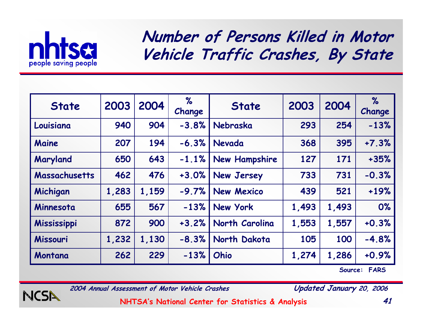

**Number of Persons Killed in Motor Vehicle Traffic Crashes, By State**

| <b>State</b>       | 2003  | 2004  | %<br>Change | <b>State</b>         | 2003  | 2004  | $\%$<br>Change |
|--------------------|-------|-------|-------------|----------------------|-------|-------|----------------|
| Louisiana          | 940   | 904   | $-3.8%$     | Nebraska             | 293   | 254   | $-13%$         |
| Maine              | 207   | 194   | $-6.3%$     | Nevada               | 368   | 395   | $+7.3%$        |
| Maryland           | 650   | 643   | $-1.1%$     | <b>New Hampshire</b> | 127   | 171   | $+35%$         |
| Massachusetts      | 462   | 476   | $+3.0%$     | <b>New Jersey</b>    | 733   | 731   | $-0.3%$        |
| Michigan           | 1,283 | 1,159 | $-9.7%$     | <b>New Mexico</b>    | 439   | 521   | $+19%$         |
| Minnesota          | 655   | 567   | $-13%$      | <b>New York</b>      | 1,493 | 1,493 | 0%             |
| <b>Mississippi</b> | 872   | 900   | $+3.2%$     | North Carolina       | 1,553 | 1,557 | $+0.3%$        |
| Missouri           | 1,232 | 1,130 | $-8.3%$     | North Dakota         | 105   | 100   | $-4.8%$        |
| Montana            | 262   | 229   | $-13%$      | Ohio                 | 1,274 | 1,286 | $+0.9%$        |

**Source: FARS**



**2004 Annual Assessment of Motor Vehicle Crashes Updated January 20, 2006**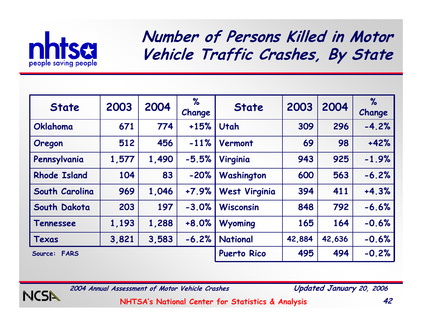

NCSI

**Number of Persons Killed in Motor Vehicle Traffic Crashes, By State**

| <b>State</b>           | 2003  | 2004  | %<br>Change | <b>State</b>         | 2003   | 2004   | $\%$<br>Change |
|------------------------|-------|-------|-------------|----------------------|--------|--------|----------------|
| Oklahoma               | 671   | 774   | $+15%$      | Utah                 | 309    | 296    | $-4.2%$        |
| Oregon                 | 512   | 456   | $-11%$      | Vermont              | 69     | 98     | $+42%$         |
| Pennsylvania           | 1,577 | 1,490 | $-5.5%$     | Virginia             | 943    | 925    | $-1.9%$        |
| <b>Rhode Island</b>    | 104   | 83    | $-20%$      | Washington           | 600    | 563    | $-6.2%$        |
| South Carolina         | 969   | 1,046 | $+7.9%$     | <b>West Virginia</b> | 394    | 411    | $+4.3%$        |
| South Dakota           | 203   | 197   | $-3.0%$     | <b>Wisconsin</b>     | 848    | 792    | $-6.6%$        |
| Tennessee              | 1,193 | 1,288 | $+8.0%$     | Wyoming              | 165    | 164    | $-0.6%$        |
| Texas                  | 3,821 | 3,583 | $-6.2%$     | <b>National</b>      | 42,884 | 42,636 | $-0.6%$        |
| <b>FARS</b><br>Source: |       |       |             | <b>Puerto Rico</b>   | 495    | 494    | $-0.2%$        |

**2004 Annual Assessment of Motor Vehicle Crashes Updated January 20, 2006**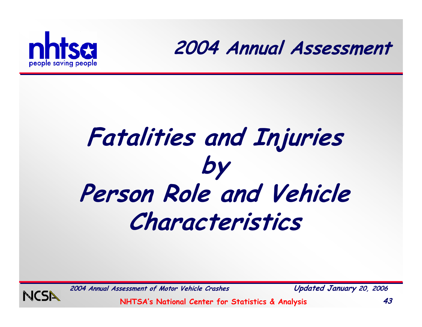



# **Fatalities and Injuries by Person Role and Vehicle Characteristics**



**2004 Annual Assessment of Motor Vehicle Crashes Updated January 20, 2006**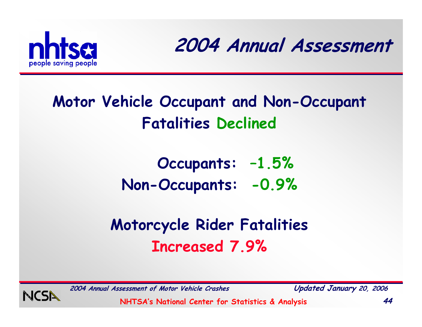

**2004 Annual Assessment**

#### **Motor Vehicle Occupant and Non-Occupant Fatalities Declined**

**Occupants: –1.5% Non-Occupants: -0.9%**

#### **Motorcycle Rider Fatalities Increased 7.9%**



**2004 Annual Assessment of Motor Vehicle Crashes Updated January 20, 2006**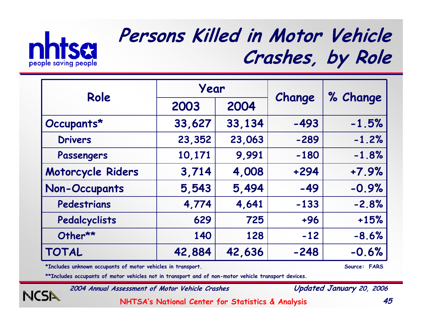

NCSN

#### **Persons Killed in Motor Vehicle Crashes, by Role**

| Role                 | Year   |        |        |          |  |
|----------------------|--------|--------|--------|----------|--|
|                      | 2003   | 2004   | Change | % Change |  |
| Occupants*           | 33,627 | 33,134 | $-493$ | $-1.5%$  |  |
| <b>Drivers</b>       | 23,352 | 23,063 | $-289$ | $-1.2%$  |  |
| Passengers           | 10,171 | 9,991  | $-180$ | $-1.8%$  |  |
| Motorcycle Riders    | 3,714  | 4,008  | $+294$ | $+7.9%$  |  |
| <b>Non-Occupants</b> | 5,543  | 5,494  | $-49$  | $-0.9%$  |  |
| Pedestrians          | 4,774  | 4,641  | $-133$ | $-2.8%$  |  |
| Pedalcyclists        | 629    | 725    | $+96$  | $+15%$   |  |
| Other**              | 140    | 128    | $-12$  | $-8.6%$  |  |
| <b>TOTAL</b>         | 42,884 | 42,636 | $-248$ | $-0.6%$  |  |

**\*Includes unknown occupants of motor vehicles in transport. Source: FARS**

**\*\*Includes occupants of motor vehicles not in transport and of non-motor vehicle transport devices.**

**2004 Annual Assessment of Motor Vehicle Crashes Updated January 20, 2006**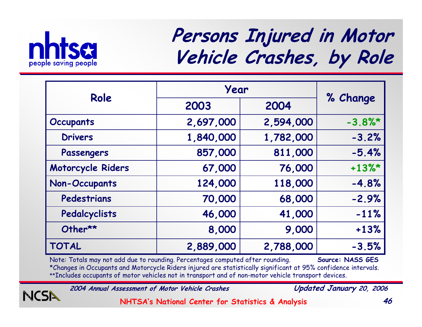

NCSN

#### **Persons Injured in Motor Vehicle Crashes, by Role**

| Role                 | Year      |           |           |
|----------------------|-----------|-----------|-----------|
|                      | 2003      | 2004      | % Change  |
| <b>Occupants</b>     | 2,697,000 | 2,594,000 | $-3.8%$ * |
| <b>Drivers</b>       | 1,840,000 | 1,782,000 | $-3.2%$   |
| Passengers           | 857,000   | 811,000   | $-5.4%$   |
| Motorcycle Riders    | 67,000    | 76,000    | $+13\%$ * |
| <b>Non-Occupants</b> | 124,000   | 118,000   | $-4.8%$   |
| Pedestrians          | 70,000    | 68,000    | $-2.9%$   |
| Pedalcyclists        | 46,000    | 41,000    | $-11%$    |
| Other**              | 8,000     | 9,000     | $+13%$    |
| <b>TOTAL</b>         | 2,889,000 | 2,788,000 | $-3.5%$   |

Note: Totals may not add due to rounding. Percentages computed after rounding. **Source: NASS GES** \*Changes in Occupants and Motorcycle Riders injured are statistically significant at 95% confidence intervals. \*\*Includes occupants of motor vehicles not in transport and of non-motor vehicle transport devices.

**2004 Annual Assessment of Motor Vehicle Crashes Updated January 20, 2006**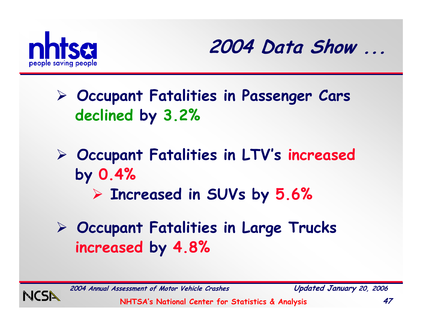



- ¾ **Occupant Fatalities in Passenger Cars declined by 3.2%**
- ¾ **Occupant Fatalities in LTV's increased by 0.4%**
	- ¾ **Increased in SUVs by 5.6%**
- ¾ **Occupant Fatalities in Large Trucks increased by 4.8%**



**2004 Annual Assessment of Motor Vehicle Crashes Updated January 20, 2006**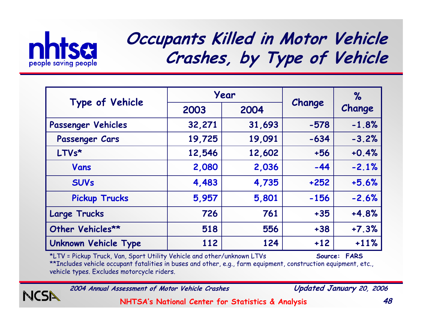

NCSN

#### **Occupants Killed in Motor Vehicle Crashes, by Type of Vehicle**

|                             |        | Year   |        | $\%$    |
|-----------------------------|--------|--------|--------|---------|
| Type of Vehicle             | 2003   | 2004   | Change | Change  |
| Passenger Vehicles          | 32,271 | 31,693 | $-578$ | $-1.8%$ |
| Passenger Cars              | 19,725 | 19,091 | $-634$ | $-3.2%$ |
| LTVs*                       | 12,546 | 12,602 | $+56$  | $+0.4%$ |
| Vans                        | 2,080  | 2,036  | $-44$  | $-2.1%$ |
| <b>SUVs</b>                 | 4,483  | 4,735  | $+252$ | $+5.6%$ |
| <b>Pickup Trucks</b>        | 5,957  | 5,801  | $-156$ | $-2.6%$ |
| <b>Large Trucks</b>         | 726    | 761    | $+35$  | $+4.8%$ |
| Other Vehicles**            | 518    | 556    | $+38$  | $+7.3%$ |
| <b>Unknown Vehicle Type</b> | 112    | 124    | $+12$  | $+11%$  |

\*LTV = Pickup Truck, Van, Sport Utility Vehicle and other/unknown LTVs **Source: FARS** \*\*Includes vehicle occupant fatalities in buses and other, e.g., farm equipment, construction equipment, etc., vehicle types. Excludes motorcycle riders.

**2004 Annual Assessment of Motor Vehicle Crashes Updated January 20, 2006**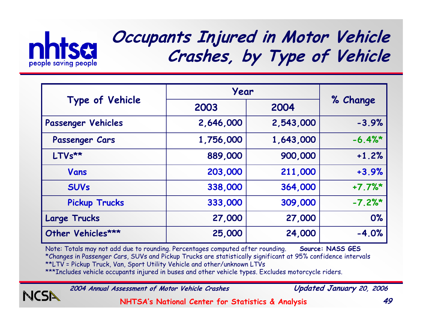

#### **Occupants Injured in Motor Vehicle Crashes, by Type of Vehicle**

|                      | Year      |           |           |
|----------------------|-----------|-----------|-----------|
| Type of Vehicle      | 2003      | 2004      | % Change  |
| Passenger Vehicles   | 2,646,000 | 2,543,000 | $-3.9%$   |
| Passenger Cars       | 1,756,000 | 1,643,000 | $-6.4%$   |
| $LTVs**$             | 889,000   | 900,000   | $+1.2%$   |
| Vans                 | 203,000   | 211,000   | $+3.9%$   |
| <b>SUVs</b>          | 338,000   | 364,000   | $+7.7%$ * |
| <b>Pickup Trucks</b> | 333,000   | 309,000   | $-7.2%$ * |
| Large Trucks         | 27,000    | 27,000    | 0%        |
| Other Vehicles***    | 25,000    | 24,000    | $-4.0%$   |

Note: Totals may not add due to rounding. Percentages computed after rounding. **Source: NASS GES** \*Changes in Passenger Cars, SUVs and Pickup Trucks are statistically significant at 95% confidence intervals \*\*LTV = Pickup Truck, Van, Sport Utility Vehicle and other/unknown LTVs \*\*\*Includes vehicle occupants injured in buses and other vehicle types. Excludes motorcycle riders.

**2004 Annual Assessment of Motor Vehicle Crashes Updated January 20, 2006**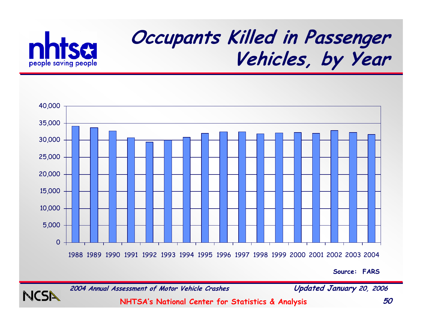

### **Occupants Killed in Passenger Vehicles, by Year**



**Source: FARS**



**2004 Annual Assessment of Motor Vehicle Crashes Updated January 20, 2006**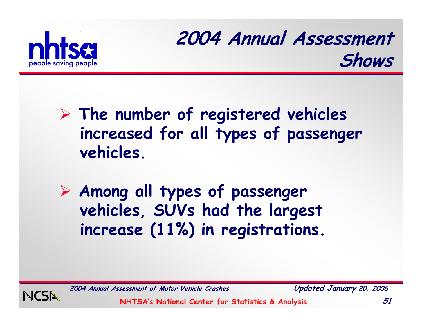

#### **2004 Annual Assessment Shows**

#### ¾ **The number of registered vehicles increased for all types of passenger vehicles.**

¾ **Among all types of passenger vehicles, SUVs had the largest increase (11%) in registrations.**



**2004 Annual Assessment of Motor Vehicle Crashes Updated January 20, 2006**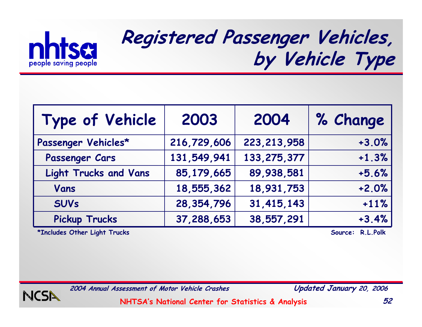

## **Registered Passenger Vehicles, by Vehicle Type**

| Type of Vehicle              | 2003         | 2004          | % Change |
|------------------------------|--------------|---------------|----------|
| Passenger Vehicles*          | 216,729,606  | 223, 213, 958 | $+3.0%$  |
| Passenger Cars               | 131,549,941  | 133, 275, 377 | $+1.3%$  |
| <b>Light Trucks and Vans</b> | 85,179,665   | 89,938,581    | $+5.6%$  |
| Vans                         | 18,555,362   | 18,931,753    | $+2.0%$  |
| <b>SUVs</b>                  | 28, 354, 796 | 31,415,143    | $+11%$   |
| <b>Pickup Trucks</b>         | 37,288,653   | 38,557,291    | $+3.4%$  |

**\*Includes Other Light Trucks Source: R.L.Polk**



**2004 Annual Assessment of Motor Vehicle Crashes Updated January 20, 2006**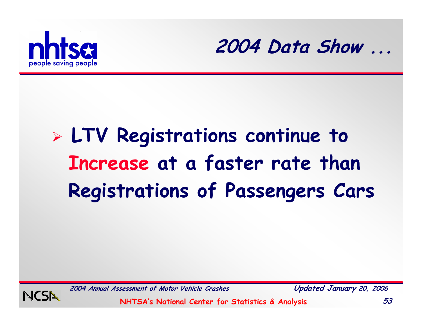



# ¾ **LTV Registrations continue to Increase at a faster rate than Registrations of Passengers Cars**



**2004 Annual Assessment of Motor Vehicle Crashes Updated January 20, 2006**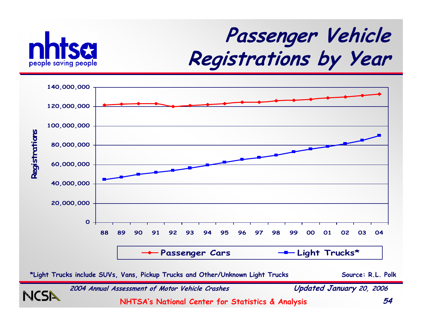

## **Passenger Vehicle Registrations by Year**



**2004 Annual Assessment of Motor Vehicle Crashes Updated January 20, 2006 NHTSA's National Center for Statistics & Analysis 54 \*Light Trucks include SUVs, Vans, Pickup Trucks and Other/Unknown Light Trucks Source: R.L. Polk**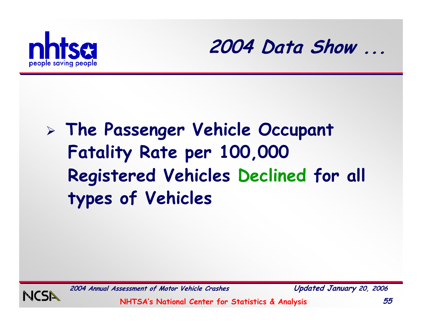



## ¾ **The Passenger Vehicle Occupant Fatality Rate per 100,000 Registered Vehicles Declined for all types of Vehicles**



**2004 Annual Assessment of Motor Vehicle Crashes Updated January 20, 2006**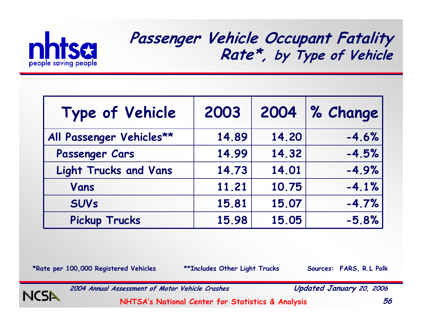

**Passenger Vehicle Occupant Fatality Rate\*, by Type of Vehicle**

| Type of Vehicle              | 2003  | 2004  | $\%$ Change |
|------------------------------|-------|-------|-------------|
| All Passenger Vehicles**     | 14.89 | 14.20 | $-4.6%$     |
| Passenger Cars               | 14.99 | 14.32 | $-4.5%$     |
| <b>Light Trucks and Vans</b> | 14.73 | 14.01 | $-4.9%$     |
| Vans                         | 11.21 | 10.75 | $-4.1%$     |
| <b>SUVs</b>                  | 15.81 | 15.07 | $-4.7%$     |
| <b>Pickup Trucks</b>         | 15.98 | 15.05 | $-5.8%$     |

\*Rate per 100,000 Registered Vehicles \*\***Includes Other Light Trucks Sources: FARS, R.L Polk** 

NCSI

**2004 Annual Assessment of Motor Vehicle Crashes Updated January 20, 2006**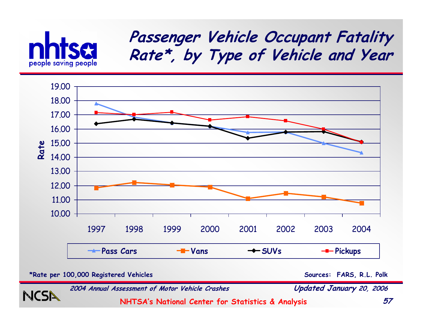

#### **Passenger Vehicle Occupant Fatality Rate\*, by Type of Vehicle and Year**



**\*Rate per 100,000 Registered Vehicles**

**Sources: FARS, R.L. Polk**



**2004 Annual Assessment of Motor Vehicle Crashes Updated January 20, 2006**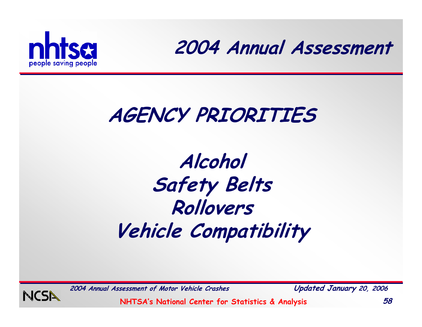

**2004 Annual Assessment**

### **AGENCY PRIORITIES**

## **Alcohol Safety Belts Rollovers Vehicle Compatibility**



**2004 Annual Assessment of Motor Vehicle Crashes Updated January 20, 2006**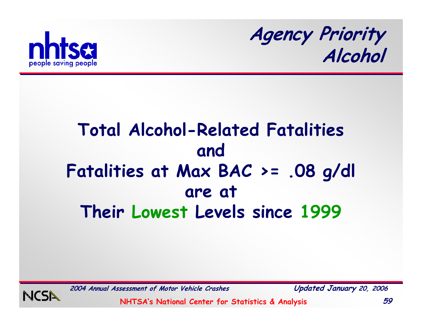



#### **Total Alcohol-Related Fatalities and Fatalities at Max BAC >= .08 g/dl are at Their Lowest Levels since 1999**

**2004 Annual Assessment of Motor Vehicle Crashes Updated January 20, 2006**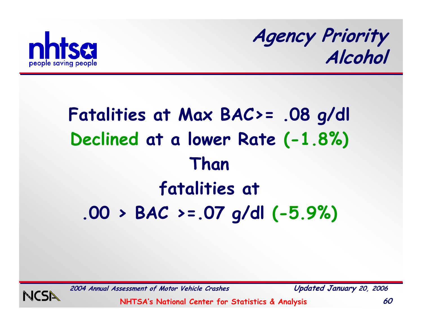

**Agency Priority Alcohol**

## **Fatalities at Max BAC>= .08 g/dl Declined at a lower Rate (-1.8%) Than fatalities at .00 > BAC >=.07 g/dl (-5.9%)**



**2004 Annual Assessment of Motor Vehicle Crashes Updated January 20, 2006**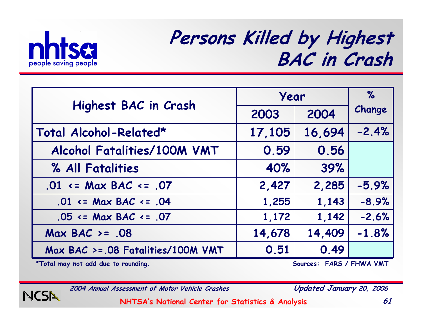

#### **Persons Killed by Highest BAC in Crash**

|                                       | Year   | $\%$   |         |
|---------------------------------------|--------|--------|---------|
| Highest BAC in Crash                  | 2003   | 2004   | Change  |
| Total Alcohol-Related*                | 17,105 | 16,694 | $-2.4%$ |
| Alcohol Fatalities/100M VMT           | 0.59   | 0.56   |         |
| % All Fatalities                      | 40%    | 39%    |         |
| $.01 \leq Max BAC \leq .07$           | 2,427  | 2,285  | $-5.9%$ |
| $.01 \leq Max BAC \leq .04$           | 1,255  | 1,143  | $-8.9%$ |
| $.05 \leq Max BAC \leq .07$           | 1,172  | 1,142  | $-2.6%$ |
| Max BAC $>= .08$                      | 14,678 | 14,409 | $-1.8%$ |
| $Max BAC > = .08$ Fatalities/100M VMT | 0.51   | 0.49   |         |

**\*Total may not add due to rounding. Sources: FARS / FHWA VMT**



**2004 Annual Assessment of Motor Vehicle Crashes Updated January 20, 2006**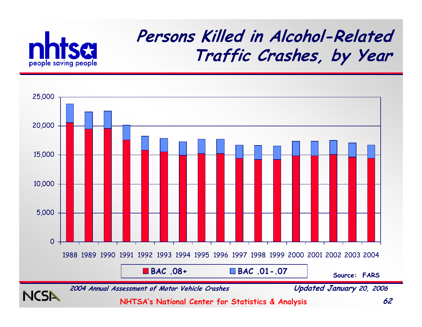

#### **Persons Killed in Alcohol-Related Traffic Crashes, by Year**

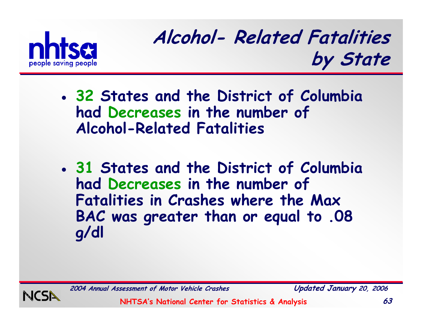

**Alcohol- Related Fatalities by State**

- **32 States and the District of Columbia had Decreases in the number of Alcohol-Related Fatalities**
- **31 States and the District of Columbia had Decreases in the number of Fatalities in Crashes where the Max BAC was greater than or equal to .08 g/dl**



**2004 Annual Assessment of Motor Vehicle Crashes Updated January 20, 2006**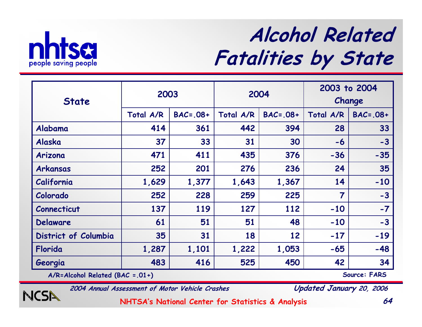

## **Alcohol Related Fatalities by State**

|                      | 2003      |               | 2004      |               | 2003 to 2004   |               |
|----------------------|-----------|---------------|-----------|---------------|----------------|---------------|
| <b>State</b>         |           |               |           |               | Change         |               |
|                      | Total A/R | $BAC = .08 +$ | Total A/R | $BAC = .08 +$ | Total A/R      | $BAC = .08 +$ |
| Alabama              | 414       | 361           | 442       | 394           | 28             | 33            |
| Alaska               | 37        | 33            | 31        | 30            | $-6$           | $-3$          |
| Arizona              | 471       | 411           | 435       | 376           | $-36$          | $-35$         |
| Arkansas             | 252       | 201           | 276       | 236           | 24             | 35            |
| California           | 1,629     | 1,377         | 1,643     | 1,367         | 14             | $-10$         |
| Colorado             | 252       | 228           | 259       | 225           | $\overline{7}$ | $-3$          |
| Connecticut          | 137       | 119           | 127       | 112           | $-10$          | $-7$          |
| Delaware             | 61        | 51            | 51        | 48            | $-10$          | $-3$          |
| District of Columbia | 35        | 31            | 18        | 12            | $-17$          | $-19$         |
| Florida              | 1,287     | 1,101         | 1,222     | 1,053         | $-65$          | $-48$         |
| Georgia              | 483       | 416           | 525       | 450           | 42             | 34            |

**A/R=Alcohol Related (BAC =.01+) Source: FARS**

**NCSA** 

**2004 Annual Assessment of Motor Vehicle Crashes Updated January 20, 2006**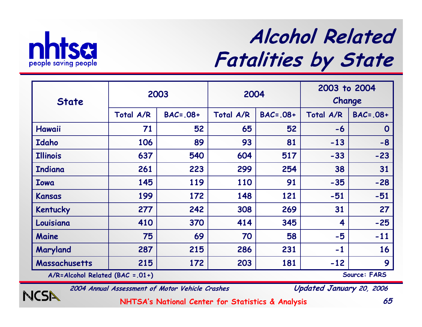

**NCSA** 

## **Alcohol Related Fatalities by State**

|                                      |           | 2003          | 2004      |               | 2003 to 2004 |              |
|--------------------------------------|-----------|---------------|-----------|---------------|--------------|--------------|
| <b>State</b>                         |           |               |           |               | Change       |              |
|                                      | Total A/R | $BAC = .08 +$ | Total A/R | $BAC = .08 +$ | Total A/R    | $BAC=.08+$   |
| Hawaii                               | 71        | 52            | 65        | 52            | $-6$         | $\mathbf 0$  |
| Idaho                                | 106       | 89            | 93        | 81            | $-13$        | $-8$         |
| <b>Illinois</b>                      | 637       | 540           | 604       | 517           | $-33$        | $-23$        |
| <b>Indiana</b>                       | 261       | 223           | 299       | 254           | 38           | 31           |
| <b>Iowa</b>                          | 145       | 119           | 110       | 91            | $-35$        | $-28$        |
| Kansas                               | 199       | 172           | 148       | 121           | $-51$        | $-51$        |
| Kentucky                             | 277       | 242           | 308       | 269           | 31           | 27           |
| Louisiana                            | 410       | 370           | 414       | 345           | 4            | $-25$        |
| Maine                                | 75        | 69            | 70        | 58            | $-5$         | $-11$        |
| Maryland                             | 287       | 215           | 286       | 231           | $-1$         | 16           |
| Massachusetts                        | 215       | 172           | 203       | 181           | $-12$        | 9            |
| $A/R = Alcohol$ Related (BAC = .01+) |           |               |           |               |              | Source: FARS |

**2004 Annual Assessment of Motor Vehicle Crashes Updated January 20, 2006**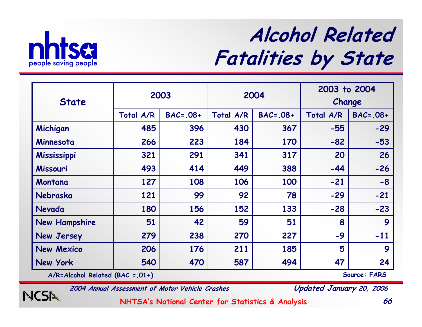

## **Alcohol Related Fatalities by State**

| <b>State</b>         |           | 2003          | 2003 to 2004<br>2004<br>Change |               |           |                   |
|----------------------|-----------|---------------|--------------------------------|---------------|-----------|-------------------|
|                      |           |               |                                |               |           |                   |
|                      | Total A/R | $BAC = .08 +$ | Total A/R                      | $BAC = .08 +$ | Total A/R | $BAC = .08 +$     |
| Michigan             | 485       | 396           | 430                            | 367           | $-55$     | $-29$             |
| Minnesota            | 266       | 223           | 184                            | 170           | $-82$     | $-53$             |
| Mississippi          | 321       | 291           | 341                            | 317           | 20        | 26                |
| Missouri             | 493       | 414           | 449                            | 388           | $-44$     | $-26$             |
| Montana              | 127       | 108           | 106                            | 100           | $-21$     | $-8$              |
| Nebraska             | 121       | 99            | 92                             | 78            | $-29$     | $-21$             |
| Nevada               | 180       | 156           | 152                            | 133           | $-28$     | $-23$             |
| <b>New Hampshire</b> | 51        | 42            | 59                             | 51            | 8         | 9                 |
| <b>New Jersey</b>    | 279       | 238           | 270                            | 227           | $-9$      | $-11$             |
| <b>New Mexico</b>    | 206       | 176           | 211                            | 185           | 5         | 9                 |
| New York             | 540       | 470           | 587                            | 494           | 47        | 24<br><b>PANA</b> |

**A/R=Alcohol Related (BAC =.01+) Source: FARS**

NCSN

**2004 Annual Assessment of Motor Vehicle Crashes Updated January 20, 2006**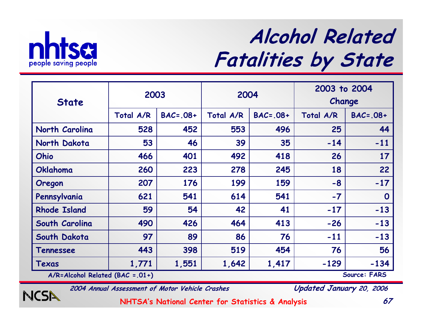

NCSN

## **Alcohol Related Fatalities by State**

| <b>State</b>                                         | 2003      |               | 2004      |               | 2003 to 2004 |               |
|------------------------------------------------------|-----------|---------------|-----------|---------------|--------------|---------------|
|                                                      |           |               |           |               |              | Change        |
|                                                      | Total A/R | $BAC = .08 +$ | Total A/R | $BAC = .08 +$ | Total A/R    | $BAC = .08 +$ |
| North Carolina                                       | 528       | 452           | 553       | 496           | 25           | 44            |
| North Dakota                                         | 53        | 46            | 39        | 35            | $-14$        | $-11$         |
| Ohio                                                 | 466       | 401           | 492       | 418           | 26           | 17            |
| Oklahoma                                             | 260       | 223           | 278       | 245           | 18           | 22            |
| Oregon                                               | 207       | 176           | 199       | 159           | $-8$         | $-17$         |
| Pennsylvania                                         | 621       | 541           | 614       | 541           | $-7$         | $\mathbf 0$   |
| <b>Rhode Island</b>                                  | 59        | 54            | 42        | 41            | $-17$        | $-13$         |
| South Carolina                                       | 490       | 426           | 464       | 413           | $-26$        | $-13$         |
| South Dakota                                         | 97        | 89            | 86        | 76            | $-11$        | $-13$         |
| Tennessee                                            | 443       | 398           | 519       | 454           | 76           | 56            |
| Texas                                                | 1,771     | 1,551         | 1,642     | 1,417         | $-129$       | $-134$        |
| Source: FARS<br>$A/R = Alcohol$ Related (BAC = .01+) |           |               |           |               |              |               |

**2004 Annual Assessment of Motor Vehicle Crashes Updated January 20, 2006**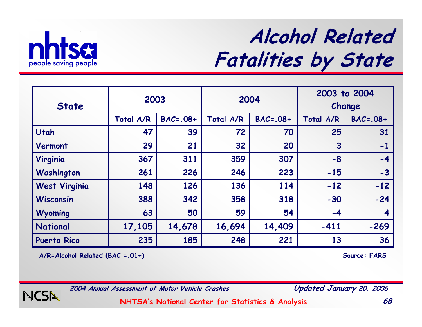

## **Alcohol Related Fatalities by State**

| <b>State</b>         | 2003      |               |           | 2004          | 2003 to 2004<br>Change |               |
|----------------------|-----------|---------------|-----------|---------------|------------------------|---------------|
|                      | Total A/R | $BAC = .08 +$ | Total A/R | $BAC = .08 +$ | Total A/R              | $BAC = .08 +$ |
| Utah                 | 47        | 39            | 72        | 70            | 25                     | 31            |
| Vermont              | 29        | 21            | 32        | 20            | 3                      | $-1$          |
| Virginia             | 367       | 311           | 359       | 307           | $-8$                   | $-4$          |
| Washington           | 261       | 226           | 246       | 223           | $-15$                  | $-3$          |
| <b>West Virginia</b> | 148       | 126           | 136       | 114           | $-12$                  | $-12$         |
| <b>Wisconsin</b>     | 388       | 342           | 358       | 318           | $-30$                  | $-24$         |
| Wyoming              | 63        | 50            | 59        | 54            | $-4$                   | 4             |
| <b>National</b>      | 17,105    | 14,678        | 16,694    | 14,409        | $-411$                 | $-269$        |
| <b>Puerto Rico</b>   | 235       | 185           | 248       | 221           | 13                     | 36            |

**A/R=Alcohol Related (BAC =.01+) Source: FARS**



**2004 Annual Assessment of Motor Vehicle Crashes Updated January 20, 2006**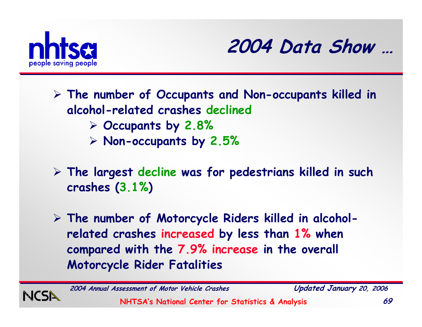



¾ **The number of Occupants and Non-occupants killed in alcohol-related crashes declined** ¾ **Occupants by 2.8%**  ¾ **Non-occupants by 2.5%**

¾ **The largest decline was for pedestrians killed in such crashes (3.1% )**

¾ **The number of Motorcycle Riders killed in alcoholrelated crashes increased by less than 1% when compared with the 7.9% increase in the overall Motorcycle Rider Fatalities**



**2004 Annual Assessment of Motor Vehicle Crashes Updated January 20, 2006**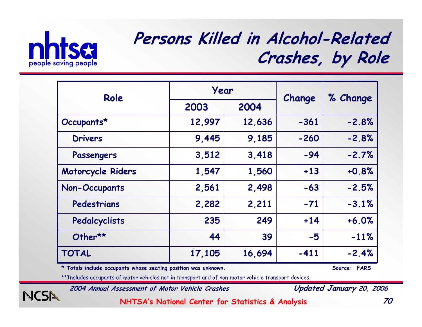

NCSI

#### **Persons Killed in Alcohol-Related Crashes, by Role**

| Role                 | Year   |        | Change | % Change |
|----------------------|--------|--------|--------|----------|
|                      | 2003   | 2004   |        |          |
| Occupants*           | 12,997 | 12,636 | $-361$ | $-2.8%$  |
| <b>Drivers</b>       | 9,445  | 9,185  | $-260$ | $-2.8%$  |
| Passengers           | 3,512  | 3,418  | $-94$  | $-2.7%$  |
| Motorcycle Riders    | 1,547  | 1,560  | $+13$  | $+0.8%$  |
| <b>Non-Occupants</b> | 2,561  | 2,498  | $-63$  | $-2.5%$  |
| Pedestrians          | 2,282  | 2,211  | $-71$  | $-3.1%$  |
| Pedalcyclists        | 235    | 249    | $+14$  | $+6.0%$  |
| Other**              | 44     | 39     | $-5$   | $-11%$   |
| <b>TOTAL</b>         | 17,105 | 16,694 | $-411$ | $-2.4%$  |

**\* Totals include occupants whose seating position was unknown. Source: FARS**

\*\*Includes occupants of motor vehicles not in transport and of non-motor vehicle transport devices.

**2004 Annual Assessment of Motor Vehicle Crashes Updated January 20, 2006**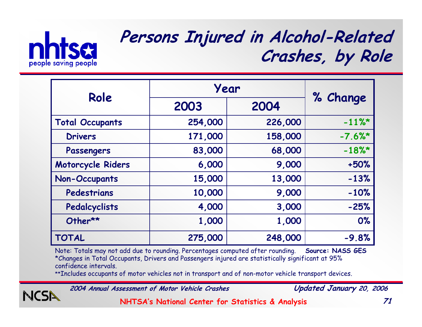

#### **Persons Injured in Alcohol-Related Crashes, by Role**

|                        | Year    |         |           |
|------------------------|---------|---------|-----------|
| Role                   | 2003    | 2004    | % Change  |
| <b>Total Occupants</b> | 254,000 | 226,000 | $-11\%$ * |
| <b>Drivers</b>         | 171,000 | 158,000 | $-7.6%$   |
| Passengers             | 83,000  | 68,000  | $-18%$    |
| Motorcycle Riders      | 6,000   | 9,000   | $+50%$    |
| <b>Non-Occupants</b>   | 15,000  | 13,000  | $-13%$    |
| Pedestrians            | 10,000  | 9,000   | $-10%$    |
| Pedalcyclists          | 4,000   | 3,000   | $-25%$    |
| Other**                | 1,000   | 1,000   | 0%        |
| <b>TOTAL</b>           | 275,000 | 248,000 | $-9.8%$   |

Note: Totals may not add due to rounding. Percentages computed after rounding. **Source: NASS GES** \*Changes in Total Occupants, Drivers and Passengers injured are statistically significant at 95% confidence intervals.

\*\*Includes occupants of motor vehicles not in transport and of non-motor vehicle transport devices.

**2004 Annual Assessment of Motor Vehicle Crashes Updated January 20, 2006**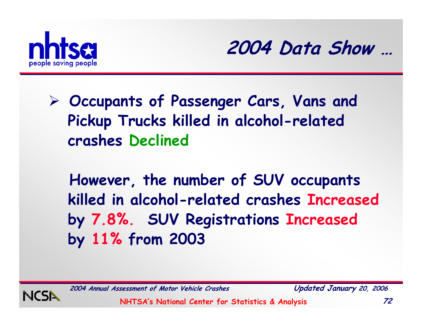



¾ **Occupants of Passenger Cars, Vans and Pickup Trucks killed in alcohol-related crashes Declined**

**However, the number of SUV occupants killed in alcohol-related crashes Increased by 7.8%. SUV Registrations Increased by 11% from 2003**



**2004 Annual Assessment of Motor Vehicle Crashes Updated January 20, 2006**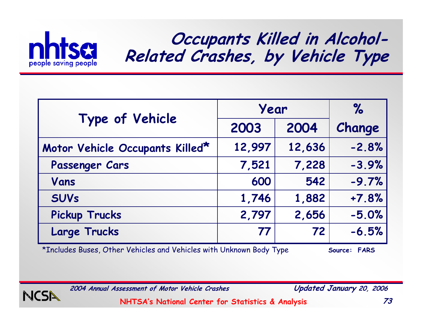

### **Occupants Killed in Alcohol-Related Crashes, by Vehicle Type**

|                                 | Year   | %      |         |
|---------------------------------|--------|--------|---------|
| Type of Vehicle                 | 2003   | 2004   | Change  |
| Motor Vehicle Occupants Killed* | 12,997 | 12,636 | $-2.8%$ |
| Passenger Cars                  | 7,521  | 7,228  | $-3.9%$ |
| Vans                            | 600    | 542    | $-9.7%$ |
| <b>SUVs</b>                     | 1,746  | 1,882  | $+7.8%$ |
| <b>Pickup Trucks</b>            | 2,797  | 2,656  | $-5.0%$ |
| <b>Large Trucks</b>             | 77     | 72     | $-6.5%$ |

\*Includes Buses, Other Vehicles and Vehicles with Unknown Body Type **Source: FARS** 



**2004 Annual Assessment of Motor Vehicle Crashes Updated January 20, 2006**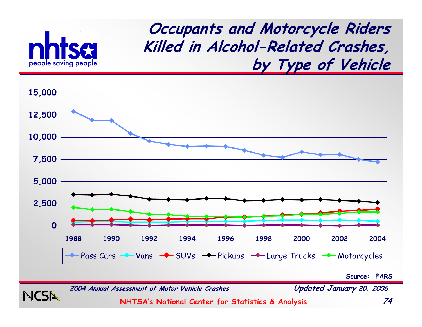

NCSN

**Occupants and Motorcycle Riders Killed in Alcohol-Related Crashes, by Type of Vehicle**



**Source: FARS**

**2004 Annual Assessment of Motor Vehicle Crashes Updated January 20, 2006**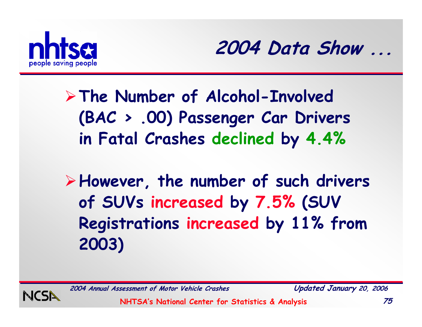

**2004 Data Show ...**

¾**The Number of Alcohol-Involved (BAC > .00) Passenger Car Drivers in Fatal Crashes declined by 4.4%**

¾**However, the number of such drivers of SUVs increased by 7.5% (SUV Registrations increased by 11% from 2003)**



**2004 Annual Assessment of Motor Vehicle Crashes Updated January 20, 2006**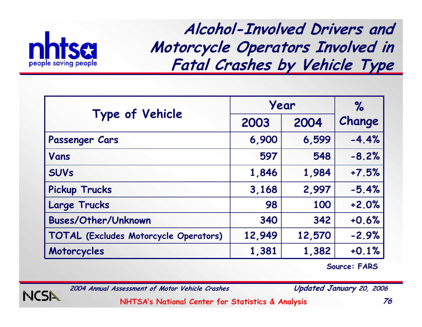

**Alcohol-Involved Drivers and Motorcycle Operators Involved in Fatal Crashes by Vehicle Type**

|                                       | Year   | $\%$   |         |
|---------------------------------------|--------|--------|---------|
| Type of Vehicle                       | 2003   | 2004   | Change  |
| Passenger Cars                        | 6,900  | 6,599  | $-4.4%$ |
| Vans                                  | 597    | 548    | $-8.2%$ |
| <b>SUVs</b>                           | 1,846  | 1,984  | $+7.5%$ |
| <b>Pickup Trucks</b>                  | 3,168  | 2,997  | $-5.4%$ |
| <b>Large Trucks</b>                   | 98     | 100    | $+2.0%$ |
| <b>Buses/Other/Unknown</b>            | 340    | 342    | $+0.6%$ |
| TOTAL (Excludes Motorcycle Operators) | 12,949 | 12,570 | $-2.9%$ |
| Motorcycles                           | 1,381  | 1,382  | $+0.1%$ |

**Source: FARS**



**2004 Annual Assessment of Motor Vehicle Crashes Updated January 20, 2006**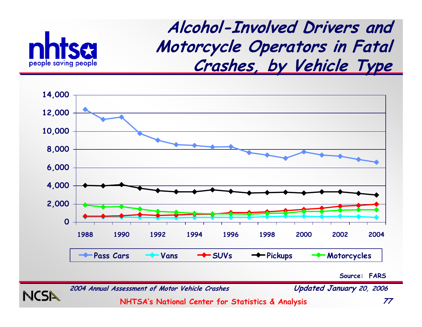

NCSN

**Alcohol-Involved Drivers and Motorcycle Operators in Fatal Crashes, by Vehicle Type**



**Source: FARS**

**2004 Annual Assessment of Motor Vehicle Crashes Updated January 20, 2006**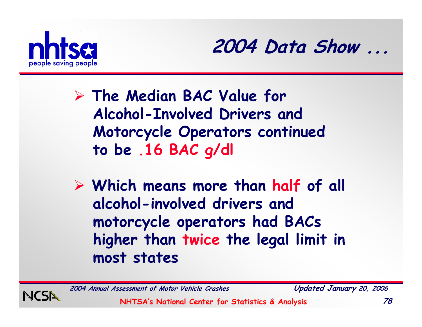



- ¾ **The Median BAC Value for Alcohol-Involved Drivers and Motorcycle Operators continued to be .16 BAC g/dl**
- ¾ **Which means more than half of all alcohol-involved drivers and motorcycle operators had BACs higher than twice the legal limit in most states**



**2004 Annual Assessment of Motor Vehicle Crashes Updated January 20, 2006**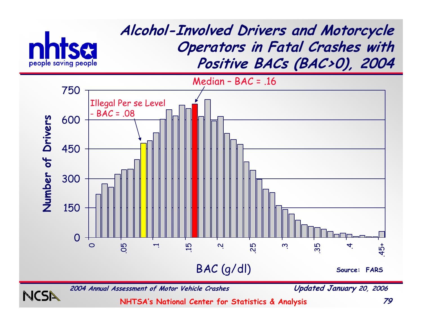

**2004 Annual Assessment of Motor Vehicle Crashes Updated January 20, 2006**

NCSN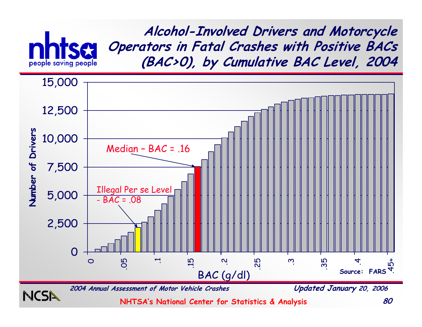

**Alcohol-Involved Drivers and Motorcycle Operators in Fatal Crashes with Positive BACs (BAC>0), by Cumulative BAC Level, 2004**

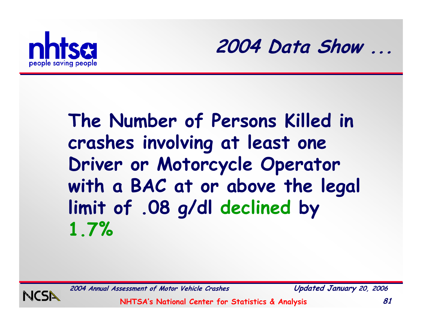



## **The Number of Persons Killed in crashes involving at least one Driver or Motorcycle Operator with a BAC at or above the legal limit of .08 g/dl declined by 1.7%**

**2004 Annual Assessment of Motor Vehicle Crashes Updated January 20, 2006**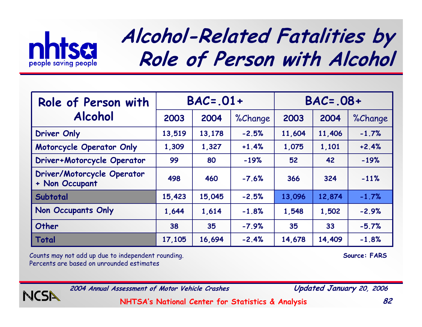

# **Alcohol-Related Fatalities by Role of Person with Alcohol**

| Role of Person with                          | $BAC = .01 +$ |        |         | $BAC = .08 +$ |        |         |
|----------------------------------------------|---------------|--------|---------|---------------|--------|---------|
| <b>Alcohol</b>                               | 2003          | 2004   | %Change | 2003          | 2004   | %Change |
| <b>Driver Only</b>                           | 13,519        | 13,178 | $-2.5%$ | 11,604        | 11,406 | $-1.7%$ |
| Motorcycle Operator Only                     | 1,309         | 1,327  | $+1.4%$ | 1,075         | 1,101  | $+2.4%$ |
| Driver+Motorcycle Operator                   | 99            | 80     | $-19%$  | 52            | 42     | $-19%$  |
| Driver/Motorcycle Operator<br>+ Non Occupant | 498           | 460    | $-7.6%$ | 366           | 324    | $-11%$  |
| Subtotal                                     | 15,423        | 15,045 | $-2.5%$ | 13,096        | 12,874 | $-1.7%$ |
| Non Occupants Only                           | 1,644         | 1,614  | $-1.8%$ | 1,548         | 1,502  | $-2.9%$ |
| Other                                        | 38            | 35     | $-7.9%$ | 35            | 33     | $-5.7%$ |
| Total                                        | 17,105        | 16,694 | $-2.4%$ | 14,678        | 14,409 | $-1.8%$ |

Counts may not add up due to independent rounding. **Source: FARS** Percents are based on unrounded estimates



**2004 Annual Assessment of Motor Vehicle Crashes Updated January 20, 2006**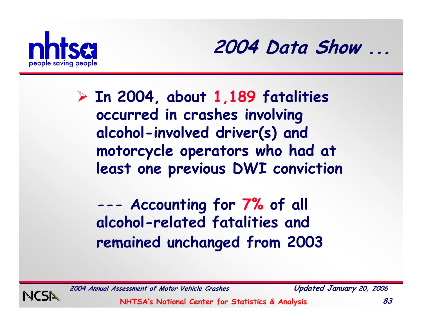

**2004 Data Show ...**

¾ **In 2004, about 1,189 fatalities occurred in crashes involving alcohol-involved driver(s) and motorcycle operators who had at least one previous DWI conviction**

**--- Accounting for 7% of all alcohol-related fatalities and remained unchanged from 2003**

**2004 Annual Assessment of Motor Vehicle Crashes Updated January 20, 2006**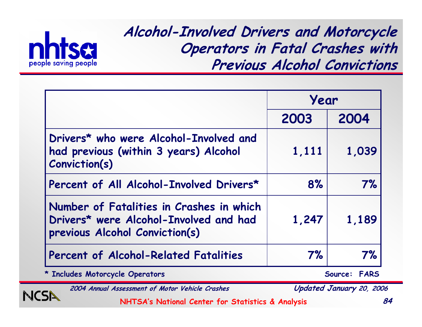

NCSI

**Alcohol-Involved Drivers and Motorcycle Operators in Fatal Crashes with Previous Alcohol Convictions**

|                                                                                                                      | Year  |                        |
|----------------------------------------------------------------------------------------------------------------------|-------|------------------------|
|                                                                                                                      | 2003  | 2004                   |
| Drivers* who were Alcohol-Involved and<br>had previous (within 3 years) Alcohol<br>Conviction(s)                     | 1,111 | 1,039                  |
| Percent of All Alcohol-Involved Drivers*                                                                             | 8%    | 7%                     |
| Number of Fatalities in Crashes in which<br>Drivers* were Alcohol-Involved and had<br>previous Alcohol Conviction(s) | 1,247 | 1,189                  |
| Percent of Alcohol-Related Fatalities                                                                                | 7%    | 7%                     |
| * Includes Motorcycle Operators                                                                                      |       | Source:<br><b>FARS</b> |

**2004 Annual Assessment of Motor Vehicle Crashes Updated January 20, 2006**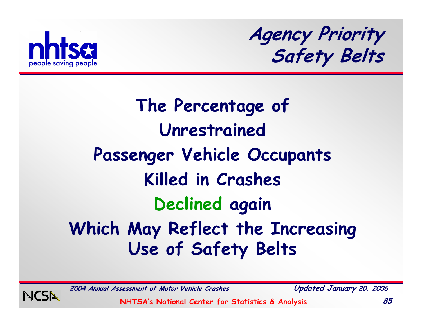

**Agency Priority Safety Belts**

# **The Percentage of Unrestrained Passenger Vehicle Occupants Killed in Crashes Declined again Which May Reflect the Increasing Use of Safety Belts**



**2004 Annual Assessment of Motor Vehicle Crashes Updated January 20, 2006**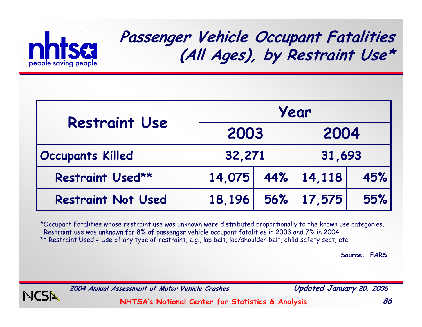

### **Passenger Vehicle Occupant Fatalities (All Ages), by Restraint Use\***

| <b>Restraint Use</b>      | Year   |                     |                   |     |  |
|---------------------------|--------|---------------------|-------------------|-----|--|
|                           | 2003   |                     | 2004              |     |  |
| <b>Occupants Killed</b>   | 32,271 |                     | 31,693            |     |  |
| Restraint Used**          |        | $14.075$ 44% 14,118 |                   | 45% |  |
| <b>Restraint Not Used</b> |        |                     | 18,196 56% 17,575 | 55% |  |

\*Occupant Fatalities whose restraint use was unknown were distributed proportionally to the known use categories. Restraint use was unknown for 8% of passenger vehicle occupant fatalities in 2003 and 7% in 2004. \*\* Restraint Used = Use of any type of restraint, e.g., lap belt, lap/shoulder belt, child safety seat, etc.

**Source: FARS**



**2004 Annual Assessment of Motor Vehicle Crashes Updated January 20, 2006**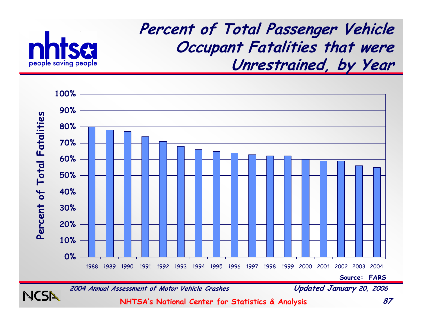

NCSI

**Percent of Total Passenger Vehicle Occupant Fatalities that were Unrestrained, by Year**



**2004 Annual Assessment of Motor Vehicle Crashes Updated January 20, 2006**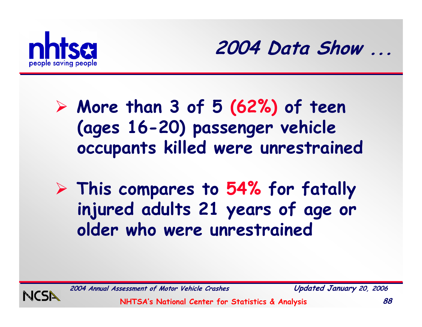



- ¾ **More than 3 of 5 (62%) of teen (ages 16-20) passenger vehicle occupants killed were unrestrained**
- ¾ **This compares to 54% for fatally injured adults 21 years of age or older who were unrestrained**



**2004 Annual Assessment of Motor Vehicle Crashes Updated January 20, 2006**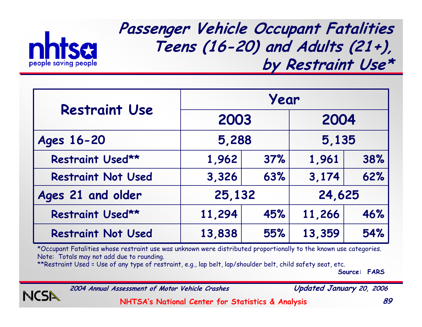

**Passenger Vehicle Occupant Fatalities Teens (16-20) and Adults (21+), by Restraint Use\***

| <b>Restraint Use</b>      | Year   |     |        |     |        |  |
|---------------------------|--------|-----|--------|-----|--------|--|
|                           | 2003   |     | 2004   |     |        |  |
| Ages 16-20                | 5,288  |     | 5,135  |     |        |  |
| Restraint Used**          | 1,962  | 37% | 1,961  | 38% |        |  |
| <b>Restraint Not Used</b> | 3,326  | 63% | 3,174  | 62% |        |  |
| Ages 21 and older         | 25,132 |     |        |     | 24,625 |  |
| Restraint Used**          | 11,294 | 45% | 11,266 | 46% |        |  |
| <b>Restraint Not Used</b> | 13,838 | 55% | 13,359 | 54% |        |  |

\*Occupant Fatalities whose restraint use was unknown were distributed proportionally to the known use categories. Note: Totals may not add due to rounding.

\*\*Restraint Used = Use of any type of restraint, e.g., lap belt, lap/shoulder belt, child safety seat, etc.

**Source: FARS**



**2004 Annual Assessment of Motor Vehicle Crashes Updated January 20, 2006**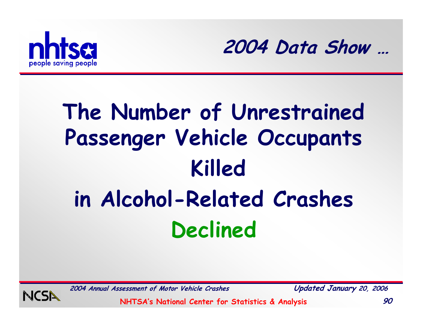



# **The Number of Unrestrained Passenger Vehicle Occupants Killed in Alcohol-Related Crashes Declined**



**2004 Annual Assessment of Motor Vehicle Crashes Updated January 20, 2006**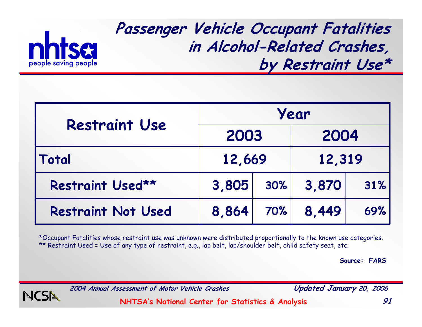

**Passenger Vehicle Occupant Fatalities in Alcohol-Related Crashes, by Restraint Use\***

| <b>Restraint Use</b>      | Year   |     |        |     |  |
|---------------------------|--------|-----|--------|-----|--|
|                           | 2003   |     | 2004   |     |  |
| Total                     | 12,669 |     | 12,319 |     |  |
| Restraint Used**          | 3,805  | 30% | 3,870  | 31% |  |
| <b>Restraint Not Used</b> | 8,864  | 70% | 8,449  | 69% |  |

\*Occupant Fatalities whose restraint use was unknown were distributed proportionally to the known use categories. \*\* Restraint Used = Use of any type of restraint, e.g., lap belt, lap/shoulder belt, child safety seat, etc.

**Source: FARS**



**2004 Annual Assessment of Motor Vehicle Crashes Updated January 20, 2006**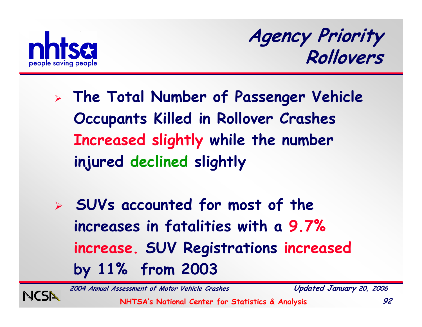

**Agency Priority Rollovers**

- ¾ **The Total Number of Passenger Vehicle Occupants Killed in Rollover Crashes Increased slightly while the number injured declined slightly**
- ¾ **SUVs accounted for most of the increases in fatalities with a 9.7% increase. SUV Registrations increased by 11% from 2003**

**2004 Annual Assessment of Motor Vehicle Crashes Updated January 20, 2006**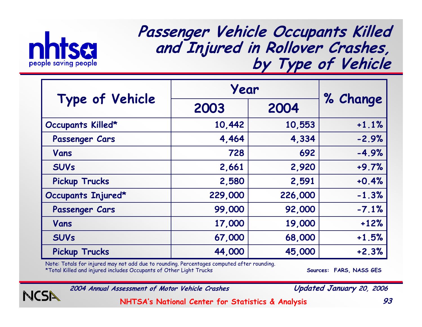

NC

**Passenger Vehicle Occupants Killed and Injured in Rollover Crashes, by Type of Vehicle**

|                      | Year    |         |          |
|----------------------|---------|---------|----------|
| Type of Vehicle      | 2003    | 2004    | % Change |
| Occupants Killed*    | 10,442  | 10,553  | $+1.1%$  |
| Passenger Cars       | 4,464   | 4,334   | $-2.9%$  |
| Vans                 | 728     | 692     | $-4.9%$  |
| <b>SUVs</b>          | 2,661   | 2,920   | $+9.7%$  |
| <b>Pickup Trucks</b> | 2,580   | 2,591   | $+0.4%$  |
| Occupants Injured*   | 229,000 | 226,000 | $-1.3%$  |
| Passenger Cars       | 99,000  | 92,000  | $-7.1%$  |
| Vans                 | 17,000  | 19,000  | $+12%$   |
| <b>SUVs</b>          | 67,000  | 68,000  | $+1.5%$  |
| <b>Pickup Trucks</b> | 44,000  | 45,000  | $+2.3%$  |

Note: Totals for injured may not add due to rounding. Percentages computed after rounding.

\*Total Killed and injured includes Occupants of Other Light Trucks **Sources: FARS, NASS GES**

**2004 Annual Assessment of Motor Vehicle Crashes Updated January 20, 2006**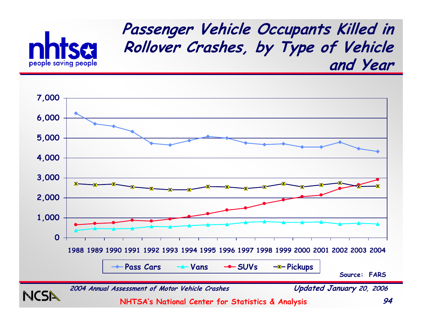

#### **Passenger Vehicle Occupants Killed in Rollover Crashes, by Type of Vehicle and Year**

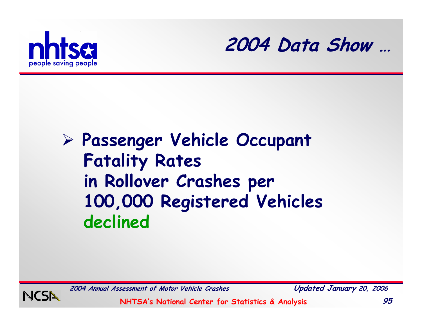



## ¾ **Passenger Vehicle Occupant Fatality Rates in Rollover Crashes per 100,000 Registered Vehicles declined**



**2004 Annual Assessment of Motor Vehicle Crashes Updated January 20, 2006**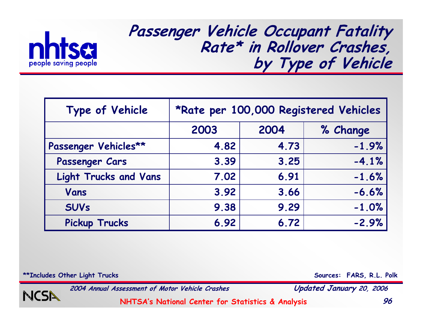

#### **Passenger Vehicle Occupant Fatality Rate\* in Rollover Crashes, by Type of Vehicle**

| Type of Vehicle              | *Rate per 100,000 Registered Vehicles |      |          |  |  |
|------------------------------|---------------------------------------|------|----------|--|--|
|                              | 2003                                  | 2004 | % Change |  |  |
| Passenger Vehicles**         | 4.82                                  | 4.73 | $-1.9%$  |  |  |
| Passenger Cars               | 3.39                                  | 3.25 | $-4.1%$  |  |  |
| <b>Light Trucks and Vans</b> | 7.02                                  | 6.91 | $-1.6%$  |  |  |
| Vans                         | 3.92                                  | 3.66 | $-6.6%$  |  |  |
| <b>SUVs</b>                  | 9.38                                  | 9.29 | $-1.0%$  |  |  |
| <b>Pickup Trucks</b>         | 6.92                                  | 6.72 | $-2.9%$  |  |  |

\*\*Includes Other Light Trucks **Sources: FARS, R.L. Polk** 

NCSI

**2004 Annual Assessment of Motor Vehicle Crashes Updated January 20, 2006**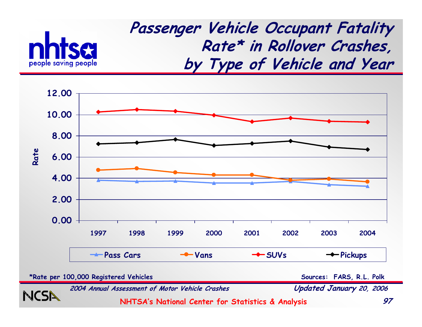

**Passenger Vehicle Occupant Fatality Rate\* in Rollover Crashes, by Type of Vehicle and Year**



**\*Rate per 100,000 Registered Vehicles**

**Sources: FARS, R.L. Polk**

**2004 Annual Assessment of Motor Vehicle Crashes Updated January 20, 2006**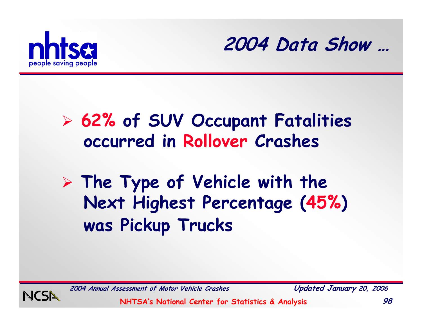



## ¾ **62% of SUV Occupant Fatalities occurred in Rollover Crashes**

¾ **The Type of Vehicle with the Next Highest Percentage (45%) was Pickup Trucks**



**2004 Annual Assessment of Motor Vehicle Crashes Updated January 20, 2006**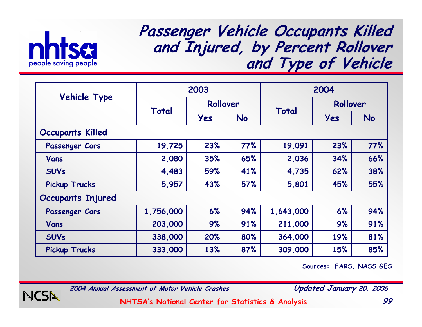

#### **Passenger Vehicle Occupants Killed and Injured, by Percent Rollover and Type of Vehicle**

|                          |           | 2003     |           | 2004      |            |            |
|--------------------------|-----------|----------|-----------|-----------|------------|------------|
| Vehicle Type             |           | Rollover |           |           | Rollover   |            |
|                          | Total     | Yes      | <b>No</b> | Total     | <b>Yes</b> | <b>No</b>  |
| <b>Occupants Killed</b>  |           |          |           |           |            |            |
| Passenger Cars           | 19,725    | 23%      | 77%       | 19,091    | 23%        | <b>77%</b> |
| Vans                     | 2,080     | 35%      | 65%       | 2,036     | 34%        | 66%        |
| <b>SUVs</b>              | 4,483     | 59%      | 41%       | 4,735     | 62%        | 38%        |
| <b>Pickup Trucks</b>     | 5,957     | 43%      | 57%       | 5,801     | 45%        | 55%        |
| <b>Occupants Injured</b> |           |          |           |           |            |            |
| Passenger Cars           | 1,756,000 | 6%       | 94%       | 1,643,000 | 6%         | 94%        |
| Vans                     | 203,000   | 9%       | 91%       | 211,000   | 9%         | 91%        |
| <b>SUVs</b>              | 338,000   | 20%      | 80%       | 364,000   | 19%        | 81%        |
| <b>Pickup Trucks</b>     | 333,000   | 13%      | 87%       | 309,000   | 15%        | 85%        |

**Sources: FARS, NASS GES**



**2004 Annual Assessment of Motor Vehicle Crashes Updated January 20, 2006**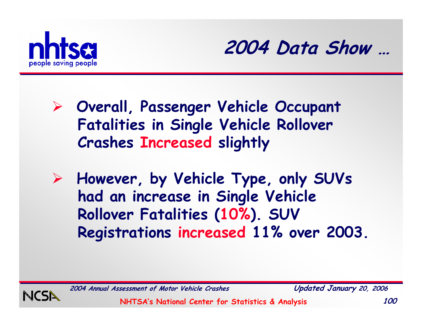



- ¾ **Overall, Passenger Vehicle Occupant Fatalities in Single Vehicle Rollover Crashes Increased slightly**
- ¾ **However, by Vehicle Type, only SUVs had an increase in Single Vehicle Rollover Fatalities (10%). SUV Registrations increased 11% over 2003.**



**2004 Annual Assessment of Motor Vehicle Crashes Updated January 20, 2006**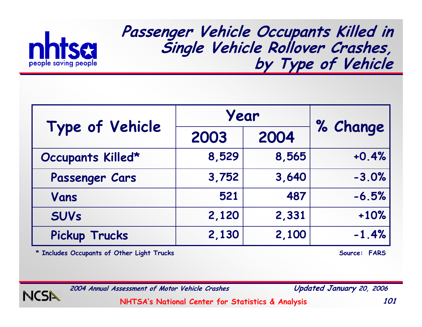

**Passenger Vehicle Occupants Killed in Single Vehicle Rollover Crashes, by Type of Vehicle**

|                      | Year         | % Change |         |
|----------------------|--------------|----------|---------|
| Type of Vehicle      | 2004<br>2003 |          |         |
| Occupants Killed*    | 8,529        | 8,565    | $+0.4%$ |
| Passenger Cars       | 3,752        | 3,640    | $-3.0%$ |
| Vans                 | 521          | 487      | $-6.5%$ |
| <b>SUVs</b>          | 2,120        | 2,331    | $+10%$  |
| <b>Pickup Trucks</b> | 2,130        | 2,100    | $-1.4%$ |

\* Includes Occupants of Other Light Trucks **Source: FARS** 



**2004 Annual Assessment of Motor Vehicle Crashes Updated January 20, 2006**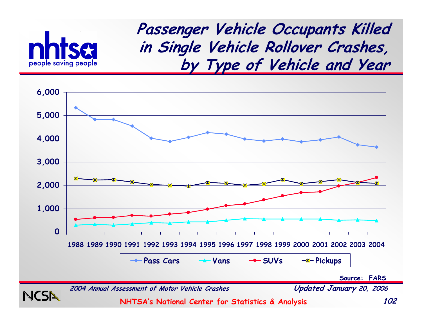

**Passenger Vehicle Occupants Killed in Single Vehicle Rollover Crashes, by Type of Vehicle and Year**



**2004 Annual Assessment of Motor Vehicle Crashes Updated January 20, 2006**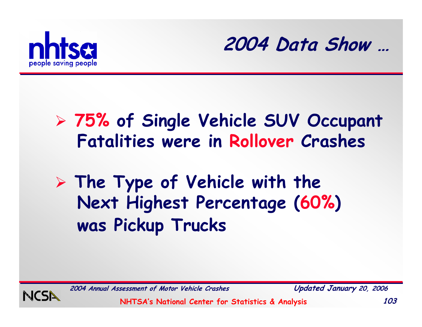



## ¾ **75% of Single Vehicle SUV Occupant Fatalities were in Rollover Crashes**

¾ **The Type of Vehicle with the Next Highest Percentage (60%) was Pickup Trucks**



**2004 Annual Assessment of Motor Vehicle Crashes Updated January 20, 2006**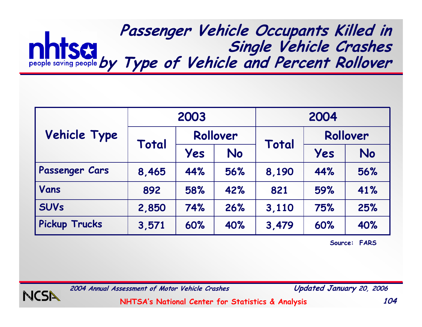#### **Passenger Vehicle Occupants Killed in Single Vehicle Crashes by Type of Vehicle and Percent Rollover**

|                      |       | 2003 |          |       | 2004     |           |
|----------------------|-------|------|----------|-------|----------|-----------|
| <b>Vehicle Type</b>  | Total |      | Rollover |       | Rollover |           |
|                      |       | Yes  | No       | Total | Yes      | <b>No</b> |
| Passenger Cars       | 8,465 | 44%  | 56%      | 8,190 | 44%      | 56%       |
| Vans                 | 892   | 58%  | 42%      | 821   | 59%      | 41%       |
| <b>SUVs</b>          | 2,850 | 74%  | 26%      | 3,110 | 75%      | 25%       |
| <b>Pickup Trucks</b> | 3,571 | 60%  | 40%      | 3,479 | 60%      | 40%       |

**Source: FARS**



**2004 Annual Assessment of Motor Vehicle Crashes Updated January 20, 2006**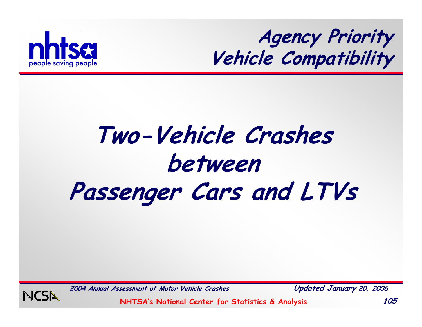

**Agency Priority Vehicle Compatibility**

# **Two-Vehicle Crashes between Passenger Cars and LTVs**



**2004 Annual Assessment of Motor Vehicle Crashes Updated January 20, 2006**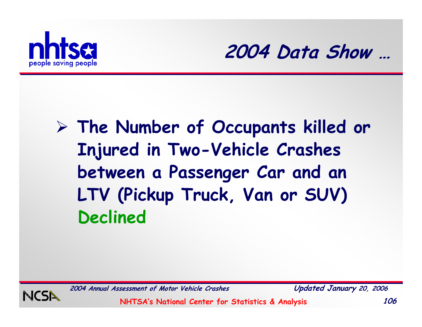



# ¾ **The Number of Occupants killed or Injured in Two-Vehicle Crashes between a Passenger Car and an LTV (Pickup Truck, Van or SUV) Declined**



**2004 Annual Assessment of Motor Vehicle Crashes Updated January 20, 2006**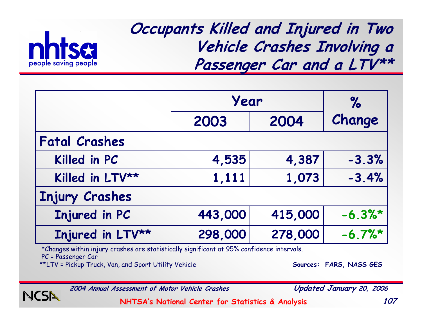

**Occupants Killed and Injured in Two Vehicle Crashes Involving a Passenger Car and a LTV\*\***

|                       | Year    |         | $\%$    |
|-----------------------|---------|---------|---------|
|                       | 2003    | 2004    | Change  |
| <b>Fatal Crashes</b>  |         |         |         |
| Killed in PC          | 4,535   | 4,387   | $-3.3%$ |
| Killed in LTV**       | 1,111   | 1,073   | $-3.4%$ |
| <b>Injury Crashes</b> |         |         |         |
| Injured in PC         | 443,000 | 415,000 | $-6.3%$ |
| Injured in LTV**      | 298,000 | 278,000 | $-6.7%$ |

\*Changes within injury crashes are statistically significant at 95% confidence intervals.

PC = Passenger Car

\*\*LTV = Pickup Truck, Van, and Sport Utility Vehicle **Sources: FARS, NASS GES** 

**2004 Annual Assessment of Motor Vehicle Crashes Updated January 20, 2006**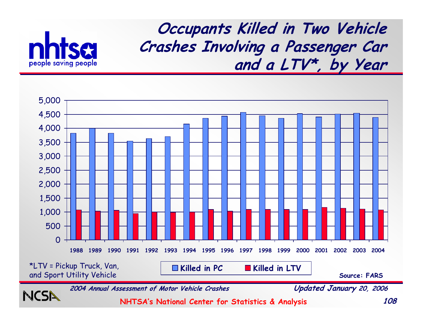

**Occupants Killed in Two Vehicle Crashes Involving a Passenger Car and a LTV\*, by Year**

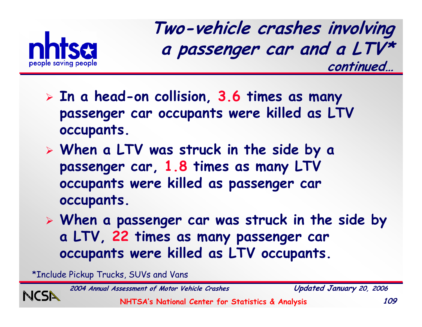

**Two -vehicle crashes involving a passenger car and a LTV\* continued…**

- ¾ **In a head-on collision, 3.6 times as many passenger car occupants were killed as LTV occupants.**
- ¾ **When a LTV was struck in the side by a passenger car, 1.8 times as many LTV occupants were killed as passenger car occupants.**
- ¾ **When a passenger car was struck in the side by a LTV, 22 times as many passenger car occupants were killed as LTV occupants.**

\*Include Pickup Trucks, SUVs and Vans

**2004 Annual Assessment of Motor Vehicle Crashes Updated January 20, 2006**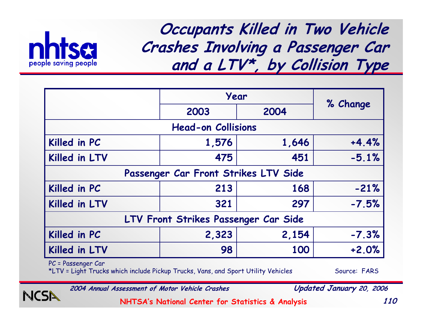

**Occupants Killed in Two Vehicle Crashes Involving a Passenger Car and a LTV\*, by Collision Type**

|                                      | Year                                 | % Change |         |  |  |  |  |
|--------------------------------------|--------------------------------------|----------|---------|--|--|--|--|
|                                      | 2003                                 | 2004     |         |  |  |  |  |
|                                      | <b>Head-on Collisions</b>            |          |         |  |  |  |  |
| Killed in PC                         | 1,576                                | 1,646    | $+4.4%$ |  |  |  |  |
| Killed in LTV                        | 475                                  | 451      | $-5.1%$ |  |  |  |  |
|                                      | Passenger Car Front Strikes LTV Side |          |         |  |  |  |  |
| Killed in PC                         | 213                                  | 168      | $-21%$  |  |  |  |  |
| Killed in LTV                        | 321                                  | 297      | $-7.5%$ |  |  |  |  |
| LTV Front Strikes Passenger Car Side |                                      |          |         |  |  |  |  |
| Killed in PC                         | 2,323                                | 2,154    | $-7.3%$ |  |  |  |  |
| Killed in LTV                        | 98                                   | 100      | $+2.0%$ |  |  |  |  |

PC = Passenger Car

NCSI

\*LTV = Light Trucks which include Pickup Trucks, Vans, and Sport Utility Vehicles Source: FARS

**2004 Annual Assessment of Motor Vehicle Crashes Updated January 20, 2006**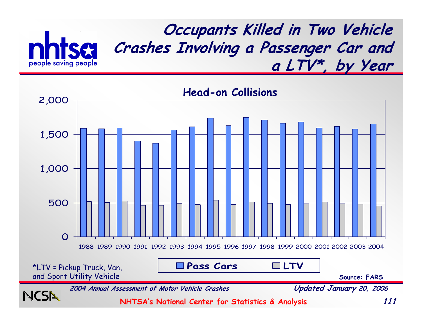

**Occupants Killed in Two Vehicle Crashes Involving a Passenger Car and a LTV\*, by Year**

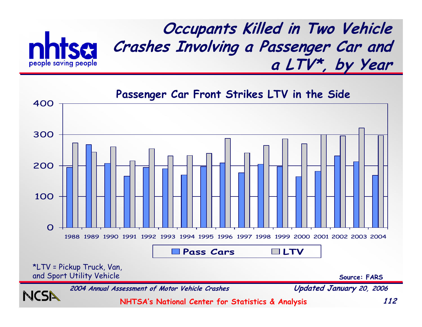

**NCS** 

**Occupants Killed in Two Vehicle Crashes Involving a Passenger Car and a LTV\*, by Year**

\*LTV = Pickup Truck, Van, and Sport Utility Vehicle **Source: FARS** 0100200300400 1988 1989 1990 1991 1992 1993 1994 1995 1996 1997 1998 1999 2000 2001 2002 2003 2004 **Pass Cars LTVPassenger Car Front Strikes LTV in the Side**

**2004 Annual Assessment of Motor Vehicle Crashes Updated January 20, 2006**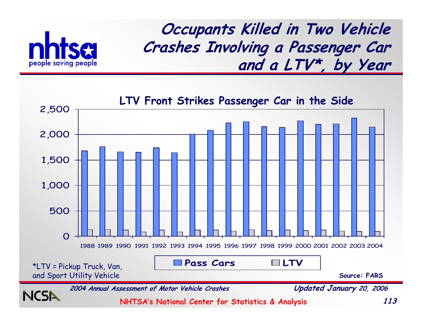

**Occupants Killed in Two Vehicle Crashes Involving a Passenger Car and a LTV\*, by Year**

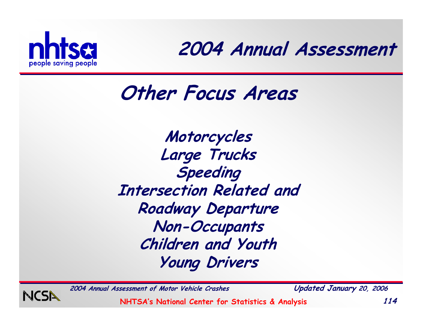

**2004 Annual Assessment**

### **Other Focus Areas**

**Motorcycles Large Trucks Speeding Intersection Related and Roadway Departure Non-Occupants Children and Youth Young Drivers**

**2004 Annual Assessment of Motor Vehicle Crashes Updated January 20, 2006**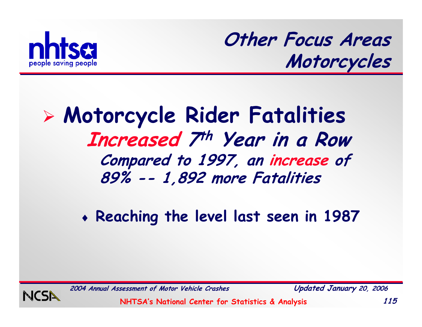

**Other Focus Areas Motorcycles**

#### ¾ **Motorcycle Rider Fatalities Increased 7th Year in a Row Compared to 1997, an increase of 89% -- 1,892 more Fatalities**

♦ **Reaching the level last seen in 1987**



**2004 Annual Assessment of Motor Vehicle Crashes Updated January 20, 2006**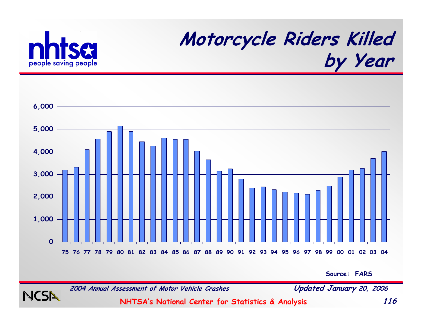

NCSI

## **Motorcycle Riders Killed by Year**



**Source: FARS**

**2004 Annual Assessment of Motor Vehicle Crashes Updated January 20, 2006**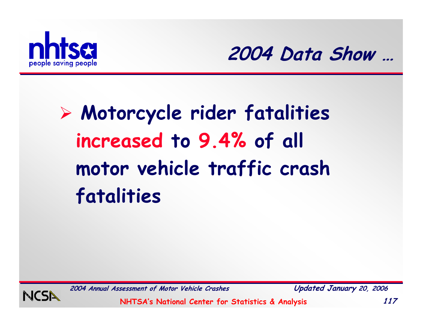



# ¾ **Motorcycle rider fatalities increased to 9.4% of all motor vehicle traffic crash fatalities**



**2004 Annual Assessment of Motor Vehicle Crashes Updated January 20, 2006**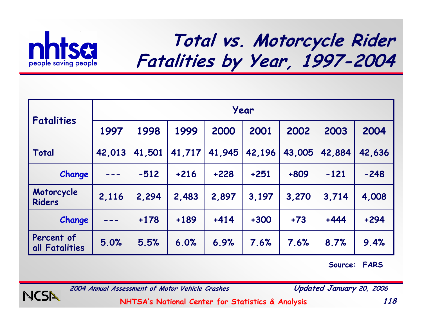

#### **Total vs. Motorcycle Rider Fatalities by Year, 1997-2004**

| <b>Fatalities</b>            | Year   |        |        |        |        |        |        |        |
|------------------------------|--------|--------|--------|--------|--------|--------|--------|--------|
|                              | 1997   | 1998   | 1999   | 2000   | 2001   | 2002   | 2003   | 2004   |
| Total                        | 42,013 | 41,501 | 41,717 | 41,945 | 42,196 | 43,005 | 42,884 | 42,636 |
| Change                       |        | $-512$ | $+216$ | $+228$ | $+251$ | $+809$ | $-121$ | $-248$ |
| Motorcycle<br><b>Riders</b>  | 2,116  | 2,294  | 2,483  | 2,897  | 3,197  | 3,270  | 3.714  | 4,008  |
| Change                       |        | $+178$ | $+189$ | $+414$ | $+300$ | $+73$  | $+444$ | $+294$ |
| Percent of<br>all Fatalities | 5.0%   | 5.5%   | 6.0%   | 6.9%   | 7.6%   | 7.6%   | 8.7%   | 9.4%   |

**Source: FARS**



**2004 Annual Assessment of Motor Vehicle Crashes Updated January 20, 2006**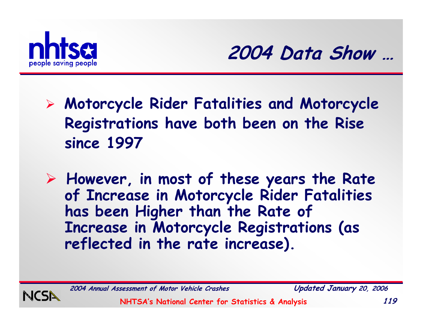



- ¾ **Motorcycle Rider Fatalities and Motorcycle Registrations have both been on the Rise since 1997**
- ¾ **However, in most of these years the Rate of Increase in Motorcycle Rider Fatalities has been Higher than the Rate of Increase in Motorcycle Registrations (as reflected in the rate increase).**



**2004 Annual Assessment of Motor Vehicle Crashes Updated January 20, 2006**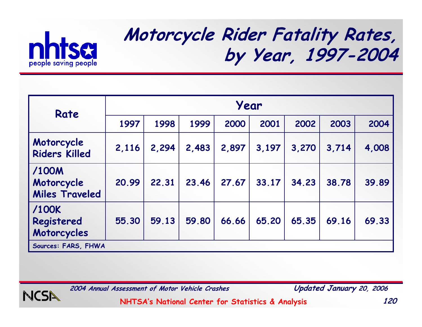

#### **Motorcycle Rider Fatality Rates, by Year, 1997-2004**

| Rate                                         | Year  |       |       |       |       |       |       |       |
|----------------------------------------------|-------|-------|-------|-------|-------|-------|-------|-------|
|                                              | 1997  | 1998  | 1999  | 2000  | 2001  | 2002  | 2003  | 2004  |
| Motorcycle<br><b>Riders Killed</b>           | 2,116 | 2,294 | 2,483 | 2,897 | 3,197 | 3,270 | 3,714 | 4,008 |
| /100M<br>Motorcycle<br><b>Miles Traveled</b> | 20.99 | 22.31 | 23.46 | 27.67 | 33.17 | 34.23 | 38.78 | 39.89 |
| /100K<br>Registered<br>Motorcycles           | 55.30 | 59.13 | 59.80 | 66.66 | 65.20 | 65.35 | 69.16 | 69.33 |
| Sources: FARS, FHWA                          |       |       |       |       |       |       |       |       |



**2004 Annual Assessment of Motor Vehicle Crashes Updated January 20, 2006**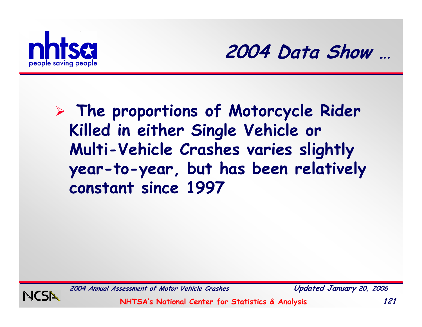



¾ **The proportions of Motorcycle Rider Killed in either Single Vehicle or Multi-Vehicle Crashes varies slightly year-to-year, but has been relatively constant since 1997**



**2004 Annual Assessment of Motor Vehicle Crashes Updated January 20, 2006**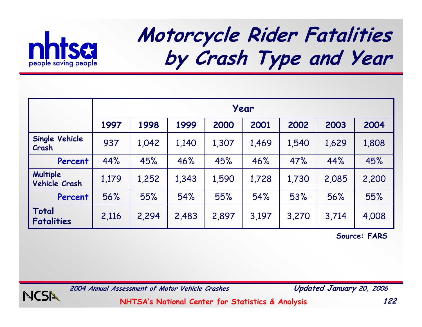

# **Motorcycle Rider Fatalities by Crash Type and Year**

|                                  | Year  |       |       |       |       |       |       |       |
|----------------------------------|-------|-------|-------|-------|-------|-------|-------|-------|
|                                  | 1997  | 1998  | 1999  | 2000  | 2001  | 2002  | 2003  | 2004  |
| <b>Single Vehicle</b><br>Crash   | 937   | 1,042 | 1,140 | 1,307 | 1,469 | 1,540 | 1,629 | 1,808 |
| Percent                          | 44%   | 45%   | 46%   | 45%   | 46%   | 47%   | 44%   | 45%   |
| Multiple<br><b>Vehicle Crash</b> | 1,179 | 1,252 | 1,343 | 1,590 | 1,728 | 1,730 | 2,085 | 2,200 |
| Percent                          | 56%   | 55%   | 54%   | 55%   | 54%   | 53%   | 56%   | 55%   |
| Total<br><b>Fatalities</b>       | 2,116 | 2,294 | 2,483 | 2,897 | 3,197 | 3,270 | 3,714 | 4,008 |

**Source: FARS**



**2004 Annual Assessment of Motor Vehicle Crashes Updated January 20, 2006**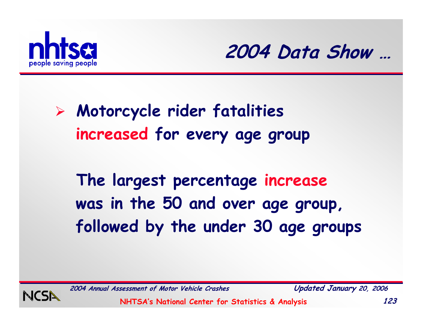



### ¾ **Motorcycle rider fatalities increased for every age group**

**The largest percentage increase was in the 50 and over age group, followed by the under 30 age groups**



**2004 Annual Assessment of Motor Vehicle Crashes Updated January 20, 2006**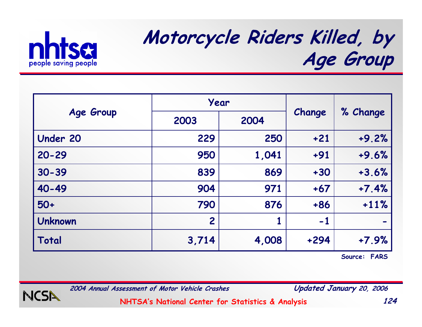

## **Motorcycle Riders Killed, by Age Group**

|                 | Year           |       |        |          |  |
|-----------------|----------------|-------|--------|----------|--|
| Age Group       | 2003           | 2004  | Change | % Change |  |
| <b>Under 20</b> | 229            | 250   | $+21$  | $+9.2%$  |  |
| $20 - 29$       | 950            | 1,041 | $+91$  | $+9.6%$  |  |
| $30 - 39$       | 839            | 869   | $+30$  | $+3.6%$  |  |
| 40-49           | 904            | 971   | $+67$  | $+7.4%$  |  |
| $50+$           | 790            | 876   | $+86$  | $+11%$   |  |
| <b>Unknown</b>  | $\overline{2}$ |       | $-1$   |          |  |
| Total           | 3,714          | 4,008 | $+294$ | $+7.9%$  |  |

**Source: FARS**



**2004 Annual Assessment of Motor Vehicle Crashes Updated January 20, 2006**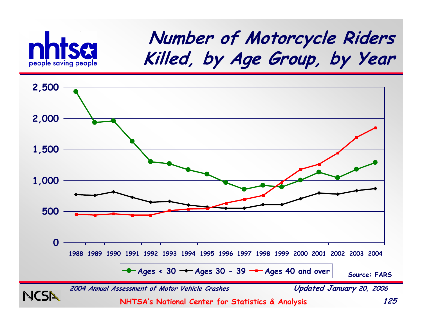

#### **Number of Motorcycle Riders Killed, by Age Group, by Year**

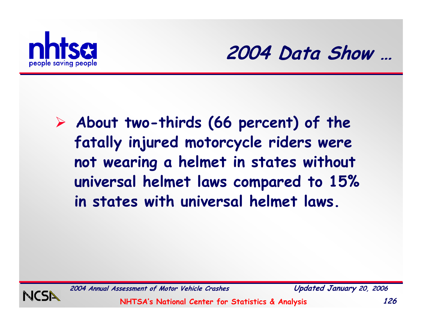



¾ **About two-thirds (66 percent) of the fatally injured motorcycle riders were not wearing a helmet in states without universal helmet laws compared to 15% in states with universal helmet laws.**



**2004 Annual Assessment of Motor Vehicle Crashes Updated January 20, 2006**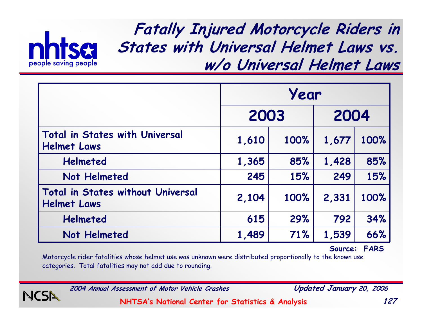

**Fatally Injured Motorcycle Riders in States with Universal Helmet Laws vs. w/o Universal Helmet Laws**

|                                                                | Year  |      |       |      |  |
|----------------------------------------------------------------|-------|------|-------|------|--|
|                                                                | 2003  |      | 2004  |      |  |
| <b>Total in States with Universal</b><br><b>Helmet Laws</b>    | 1,610 | 100% | 1,677 | 100% |  |
| <b>Helmeted</b>                                                | 1,365 | 85%  | 1,428 | 85%  |  |
| Not Helmeted                                                   | 245   | 15%  | 249   | 15%  |  |
| <b>Total in States without Universal</b><br><b>Helmet Laws</b> | 2,104 | 100% | 2,331 | 100% |  |
| <b>Helmeted</b>                                                | 615   | 29%  | 792   | 34%  |  |
| Not Helmeted                                                   | 1,489 | 71%  | 1,539 | 66%  |  |

**Source: FARS**

Motorcycle rider fatalities whose helmet use was unknown were distributed proportionally to the known use categories. Total fatalities may not add due to rounding.

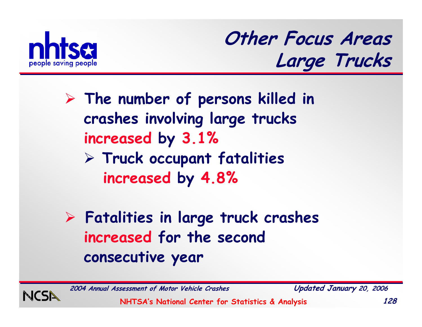

**Other Focus Areas Large Trucks**

- ¾ **The number of persons killed in crashes involving large trucks increased by 3.1%** ¾ **Truck occupant fatalities** 
	- **increased by 4.8%**
- ¾ **Fatalities in large truck crashes increased for the second consecutive year**



**2004 Annual Assessment of Motor Vehicle Crashes Updated January 20, 2006**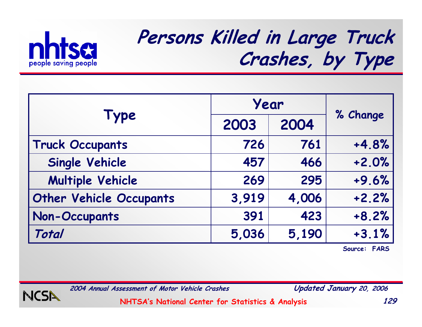

## **Persons Killed in Large Truck Crashes, by Type**

|                                | Year  |       |          |
|--------------------------------|-------|-------|----------|
| <b>Type</b>                    | 2003  | 2004  | % Change |
| <b>Truck Occupants</b>         | 726   | 761   | $+4.8%$  |
| <b>Single Vehicle</b>          | 457   | 466   | $+2.0%$  |
| <b>Multiple Vehicle</b>        | 269   | 295   | $+9.6%$  |
| <b>Other Vehicle Occupants</b> | 3,919 | 4,006 | $+2.2%$  |
| <b>Non-Occupants</b>           | 391   | 423   | $+8.2%$  |
| Total                          | 5,036 | 5,190 | $+3.1%$  |

**Source: FARS**



**2004 Annual Assessment of Motor Vehicle Crashes Updated January 20, 2006**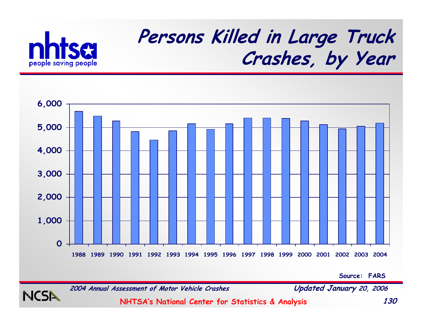



**Source: FARS**



**NCS**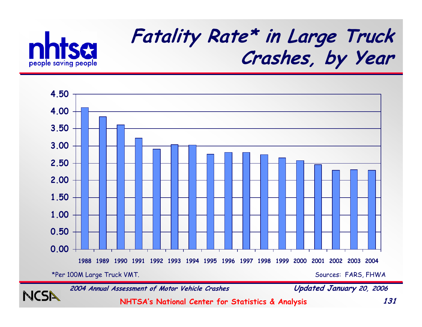

## **Fatality Rate\* in Large Truck Crashes, by Year**



**NCSN** 

**2004 Annual Assessment of Motor Vehicle Crashes Updated January 20, 2006**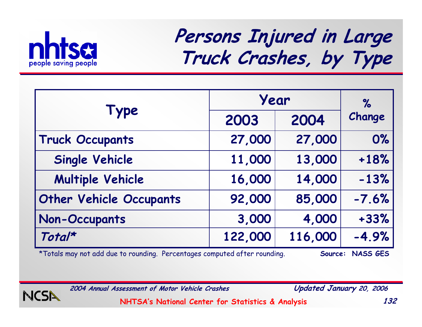

## **Persons Injured in Large Truck Crashes, by Type**

|                                | Year    | $\%$    |         |
|--------------------------------|---------|---------|---------|
| Type                           | 2003    | 2004    | Change  |
| <b>Truck Occupants</b>         | 27,000  | 27,000  | 0%      |
| <b>Single Vehicle</b>          | 11,000  | 13,000  | $+18%$  |
| <b>Multiple Vehicle</b>        | 16,000  | 14,000  | $-13%$  |
| <b>Other Vehicle Occupants</b> | 92,000  | 85,000  | $-7.6%$ |
| <b>Non-Occupants</b>           | 3,000   | 4,000   | $+33%$  |
| Total*                         | 122,000 | 116,000 | $-4.9%$ |

\*Totals may not add due to rounding. Percentages computed after rounding. **Source: NASS GES**



**2004 Annual Assessment of Motor Vehicle Crashes Updated January 20, 2006**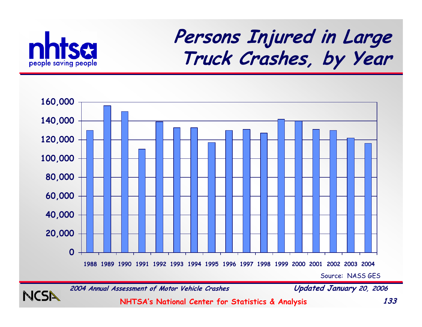

**NCSI** 

### **Persons Injured in Large Truck Crashes, by Year**



**2004 Annual Assessment of Motor Vehicle Crashes Updated January 20, 2006**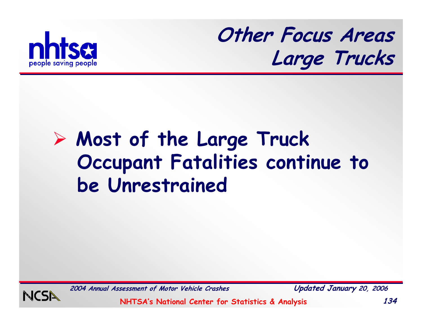

**Other Focus Areas Large Trucks**

# ¾ **Most of the Large Truck Occupant Fatalities continue to be Unrestrained**



**2004 Annual Assessment of Motor Vehicle Crashes Updated January 20, 2006**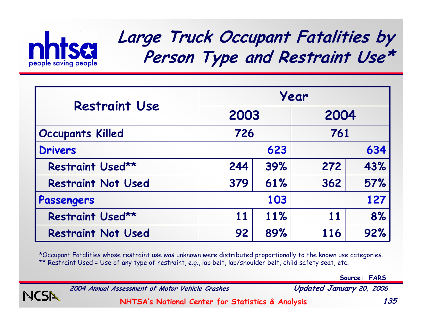

#### **Large Truck Occupant Fatalities by Person Type and Restraint Use\***

|                           | Year |     |      |     |  |  |
|---------------------------|------|-----|------|-----|--|--|
| <b>Restraint Use</b>      | 2003 |     | 2004 |     |  |  |
| <b>Occupants Killed</b>   | 726  |     | 761  |     |  |  |
| <b>Drivers</b>            |      | 623 |      | 634 |  |  |
| Restraint Used**          | 244  | 39% | 272  | 43% |  |  |
| <b>Restraint Not Used</b> | 379  | 61% | 362  | 57% |  |  |
| Passengers                |      | 103 |      | 127 |  |  |
| Restraint Used**          | 11   | 11% | 11   | 8%  |  |  |
| <b>Restraint Not Used</b> | 92   | 89% | 116  | 92% |  |  |

\*Occupant Fatalities whose restraint use was unknown were distributed proportionally to the known use categories. \*\* Restraint Used = Use of any type of restraint, e.g., lap belt, lap/shoulder belt, child safety seat, etc.

**Source: FARS**



**2004 Annual Assessment of Motor Vehicle Crashes Updated January 20, 2006**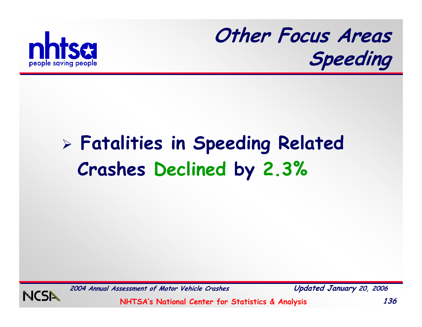



# ¾ **Fatalities in Speeding Related Crashes Declined by 2.3%**



**2004 Annual Assessment of Motor Vehicle Crashes Updated January 20, 2006**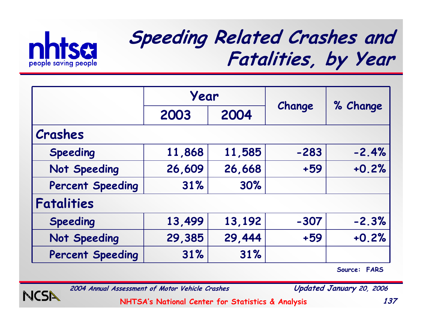

## **Speeding Related Crashes and Fatalities, by Year**

|                         | Year   |        |        |          |
|-------------------------|--------|--------|--------|----------|
|                         | 2003   | 2004   | Change | % Change |
| Crashes                 |        |        |        |          |
| <b>Speeding</b>         | 11,868 | 11,585 | $-283$ | $-2.4%$  |
| Not Speeding            | 26,609 | 26,668 | $+59$  | $+0.2%$  |
| <b>Percent Speeding</b> | 31%    | 30%    |        |          |
| <b>Fatalities</b>       |        |        |        |          |
| <b>Speeding</b>         | 13,499 | 13,192 | $-307$ | $-2.3%$  |
| Not Speeding            | 29,385 | 29,444 | $+59$  | $+0.2%$  |
| <b>Percent Speeding</b> | 31%    | 31%    |        |          |

**Source: FARS**



**2004 Annual Assessment of Motor Vehicle Crashes Updated January 20, 2006**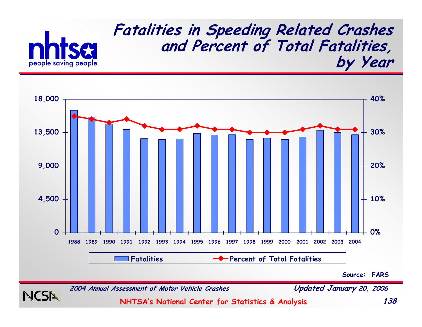



**Source: FARS**



NC'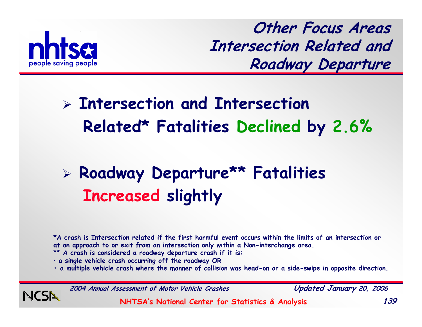

**Other Focus Areas Intersection Related and Roadway Departure**

## ¾ **Intersection and Intersection Related\* Fatalities Declined by 2.6%**

## ¾ **Roadway Departure\*\* Fatalities Increased slightly**

**\*A crash is Intersection related if the first harmful event occurs within the limits of an intersection or at an approach to or exit from an intersection only within a Non-interchange area.** 

- **\*\* A crash is considered a roadway departure crash if it is:**
- **a single vehicle crash occurring off the roadway OR**
- **• a multiple vehicle crash where the manner of collision was head-on or a side-swipe in opposite direction.**

**2004 Annual Assessment of Motor Vehicle Crashes Updated January 20, 2006**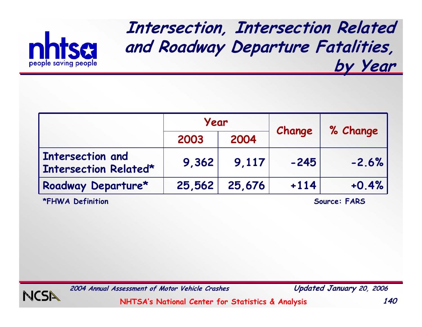

**Intersection, Intersection Related and Roadway Departure Fatalities, by Year**

|                                                  | Year   |        | Change | % Change |  |
|--------------------------------------------------|--------|--------|--------|----------|--|
|                                                  | 2003   | 2004   |        |          |  |
| <b>Intersection and</b><br>Intersection Related* | 9,362  | 9,117  | $-245$ | $-2.6%$  |  |
| Roadway Departure*                               | 25,562 | 25,676 | $+114$ | $+0.4%$  |  |

**\*FHWA Definition Source: FARS**



**2004 Annual Assessment of Motor Vehicle Crashes Updated January 20, 2006**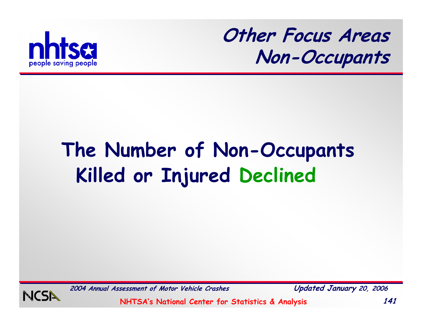

**Other Focus Areas Non-Occupants**

# **The Number of Non-Occupants Killed or Injured Declined**



**2004 Annual Assessment of Motor Vehicle Crashes Updated January 20, 2006**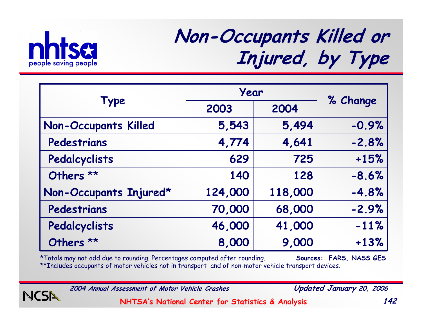

NCSN

## **Non-Occupants Killed or Injured, by Type**

|                             | Year    |         |          |
|-----------------------------|---------|---------|----------|
| Type                        | 2003    | 2004    | % Change |
| <b>Non-Occupants Killed</b> | 5,543   | 5,494   | $-0.9%$  |
| Pedestrians                 | 4,774   | 4,641   | $-2.8%$  |
| Pedalcyclists               | 629     | 725     | $+15%$   |
| Others <sup>**</sup>        | 140     | 128     | $-8.6%$  |
| Non-Occupants Injured*      | 124,000 | 118,000 | $-4.8%$  |
| Pedestrians                 | 70,000  | 68,000  | $-2.9%$  |
| Pedalcyclists               | 46,000  | 41,000  | $-11%$   |
| Others **                   | 8,000   | 9,000   | $+13%$   |

\*Totals may not add due to rounding. Percentages computed after rounding. **Sources: FARS, NASS GES** \*\*Includes occupants of motor vehicles not in transport and of non-motor vehicle transport devices.

**2004 Annual Assessment of Motor Vehicle Crashes Updated January 20, 2006**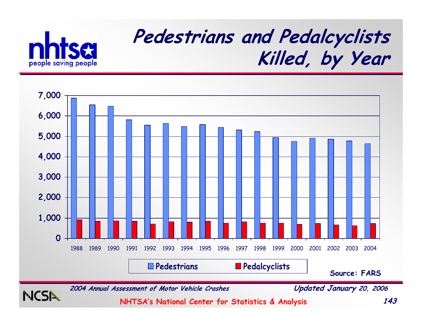

**NCSN** 

## **Pedestrians and Pedalcyclists Killed, by Year**



**2004 Annual Assessment of Motor Vehicle Crashes Updated January 20, 2006**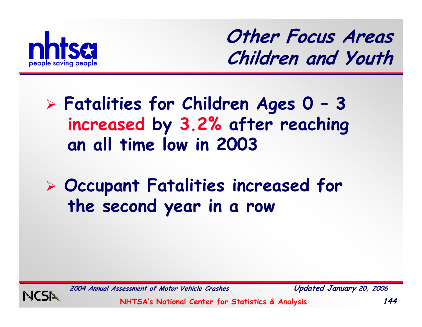

**Other Focus Areas Children and Youth**

#### ¾ **Fatalities for Children Ages 0 – 3 increased by 3.2% after reaching an all time low in 2003**

### ¾ **Occupant Fatalities increased for the second year in a row**



**2004 Annual Assessment of Motor Vehicle Crashes Updated January 20, 2006**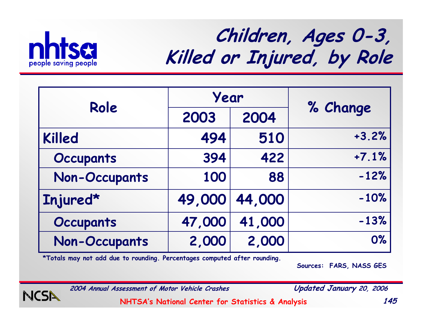

## **Children, Ages 0-3, Killed or Injured, by Role**

| Role                 | Year   |        |          |  |
|----------------------|--------|--------|----------|--|
|                      | 2003   | 2004   | % Change |  |
| Killed               | 494    | 510    | $+3.2%$  |  |
| <b>Occupants</b>     | 394    | 422    | $+7.1%$  |  |
| <b>Non-Occupants</b> | 100    | 88     | $-12%$   |  |
| Injured*             | 49,000 | 44,000 | $-10%$   |  |
| <b>Occupants</b>     | 47,000 | 41,000 | $-13%$   |  |
| <b>Non-Occupants</b> | 2,000  | 2,000  | 0%       |  |

**\*Totals may not add due to rounding. Percentages computed after rounding.**

**Sources: FARS, NASS GES**

NCSN

**2004 Annual Assessment of Motor Vehicle Crashes Updated January 20, 2006**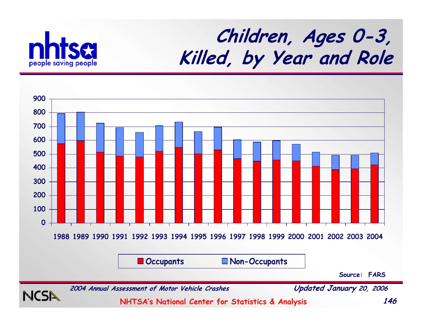

### **Children, Ages 0-3, Killed, by Year and Role**

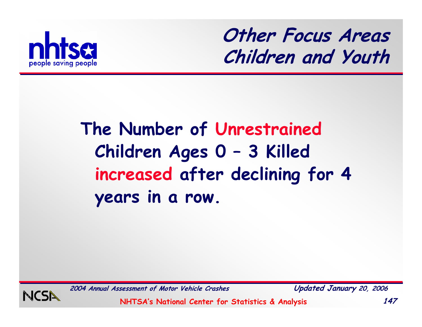

**Other Focus Areas Children and Youth**

### **The Number of Unrestrained Children Ages 0 – 3 Killed increased after declining for 4 years in a row.**



**2004 Annual Assessment of Motor Vehicle Crashes Updated January 20, 2006**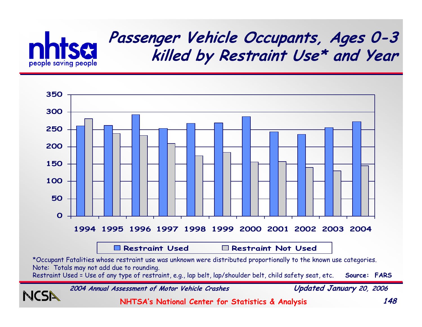

#### **Passenger Vehicle Occupants, Ages 0-3 killed by Restraint Use\* and Year**



**2004 Annual Assessment of Motor Vehicle Crashes Updated January 20, 2006**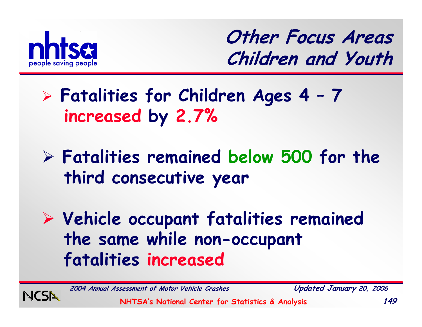

**Other Focus Areas Children and Youth**

### ¾ **Fatalities for Children Ages 4 – 7 increased by 2.7%**

#### ¾ **Fatalities remained below 500 for the third consecutive year**

¾ **Vehicle occupant fatalities remained the same while non-occupant fatalities increased**



**2004 Annual Assessment of Motor Vehicle Crashes Updated January 20, 2006**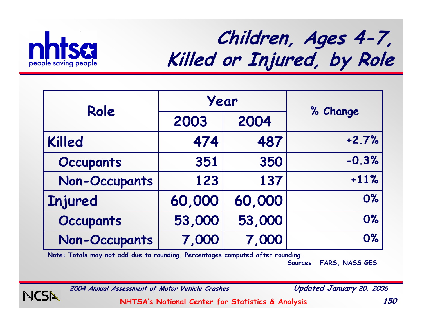

## **Children, Ages 4-7, Killed or Injured, by Role**

| Role                 | Year   |        |          |
|----------------------|--------|--------|----------|
|                      | 2003   | 2004   | % Change |
| <b>Killed</b>        | 474    | 487    | $+2.7%$  |
| <b>Occupants</b>     | 351    | 350    | $-0.3%$  |
| <b>Non-Occupants</b> | 123    | 137    | $+11%$   |
| <b>Injured</b>       | 60,000 | 60,000 | 0%       |
| <b>Occupants</b>     | 53,000 | 53,000 | 0%       |
| <b>Non-Occupants</b> | 7,000  | 7,000  | 0%       |

**Note: Totals may not add due to rounding. Percentages computed after rounding.**

**Sources: FARS, NASS GES**

NCSN

**2004 Annual Assessment of Motor Vehicle Crashes Updated January 20, 2006**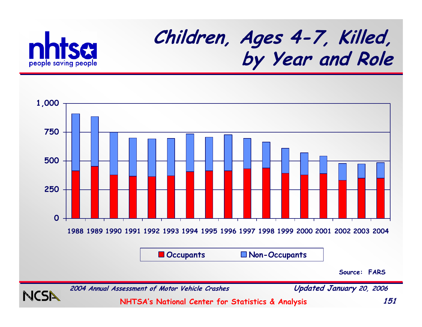

## **Children, Ages 4-7, Killed, by Year and Role**

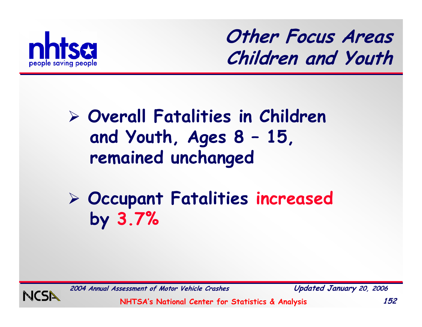

**Other Focus Areas Children and Youth**

#### ¾ **Overall Fatalities in Children and Youth, Ages 8 – 15, remained unchanged**

¾ **Occupant Fatalities increased by 3.7%**



**2004 Annual Assessment of Motor Vehicle Crashes Updated January 20, 2006**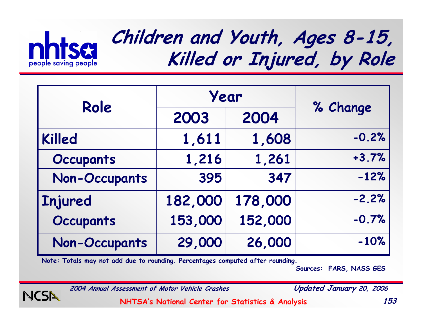

### **Children and Youth, Ages 8-15, Killed or Injured, by Role**

| Role                 | Year    |         |          |
|----------------------|---------|---------|----------|
|                      | 2003    | 2004    | % Change |
| <b>Killed</b>        | 1,611   | 1,608   | $-0.2%$  |
| <b>Occupants</b>     | 1,216   | 1,261   | $+3.7%$  |
| <b>Non-Occupants</b> | 395     | 347     | $-12%$   |
| Injured              | 182,000 | 178,000 | $-2.2%$  |
| <b>Occupants</b>     | 153,000 | 152,000 | $-0.7%$  |
| <b>Non-Occupants</b> | 29,000  | 26,000  | $-10%$   |

**Note: Totals may not add due to rounding. Percentages computed after rounding.**

**Sources: FARS, NASS GES**

NCSN

**2004 Annual Assessment of Motor Vehicle Crashes Updated January 20, 2006**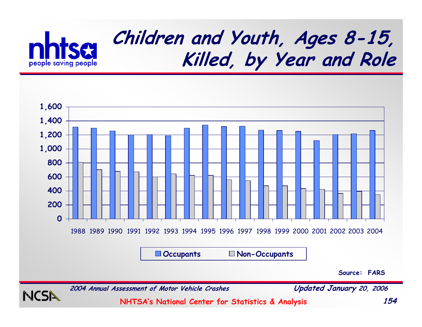



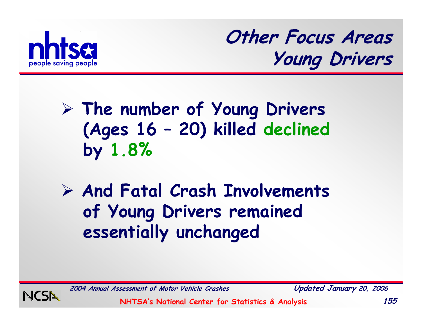

**Other Focus Areas Young Drivers**

### ¾ **The number of Young Drivers (Ages 16 – 20) killed declined by 1.8%**

¾ **And Fatal Crash Involvements of Young Drivers remained essentially unchanged**



**2004 Annual Assessment of Motor Vehicle Crashes Updated January 20, 2006**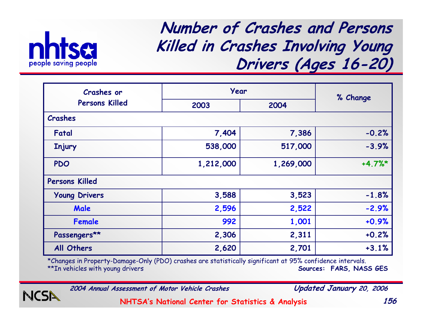

NCSI

**Number of Crashes and Persons Killed in Crashes Involving Young Drivers (Ages 16-20)**

| <b>Crashes or</b>     | Year         |           |          |  |
|-----------------------|--------------|-----------|----------|--|
| <b>Persons Killed</b> | 2004<br>2003 |           | % Change |  |
| Crashes               |              |           |          |  |
| Fatal                 | 7,404        | 7,386     | $-0.2%$  |  |
| <b>Injury</b>         | 538,000      | 517,000   | $-3.9%$  |  |
| <b>PDO</b>            | 1,212,000    | 1,269,000 | $+4.7%$  |  |
| <b>Persons Killed</b> |              |           |          |  |
| <b>Young Drivers</b>  | 3,588        | 3,523     | $-1.8%$  |  |
| Male                  | 2,596        | 2,522     | $-2.9%$  |  |
| <b>Female</b>         | 992          | 1,001     | $+0.9%$  |  |
| Passengers**          | 2,306        | 2,311     | $+0.2%$  |  |
| All Others            | 2,620        | 2,701     | $+3.1%$  |  |

\*Changes in Property-Damage-Only (PDO) crashes are statistically significant at 95% confidence intervals. Sources: FARS, NASS GES

**2004 Annual Assessment of Motor Vehicle Crashes Updated January 20, 2006**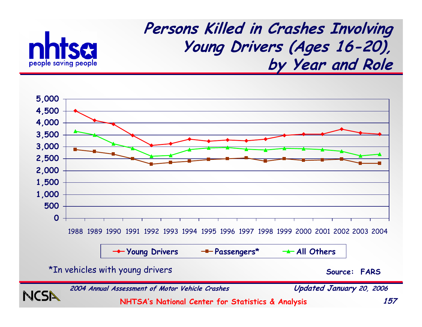





\*In vehicles with young drivers

**Source: FARS**

**2004 Annual Assessment of Motor Vehicle Crashes Updated January 20, 2006**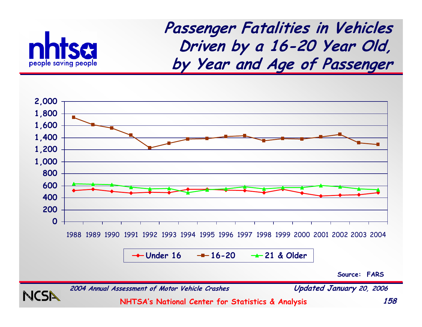

**Passenger Fatalities in Vehicles Driven by a 16-20 Year Old, by Year and Age of Passenger**



**Under 1616-20 21 & Older**

**Source: FARS**

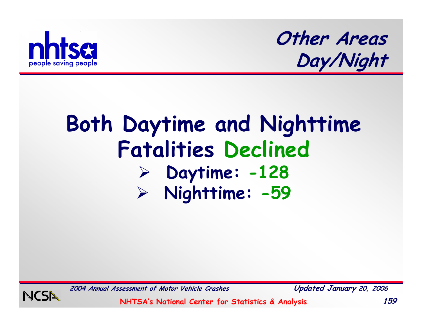

**Other Areas Day/Night**

# **Both Daytime and Nighttime Fatalities Declined** ¾ **Daytime: -128** ¾ **Nighttime: -59**



**2004 Annual Assessment of Motor Vehicle Crashes Updated January 20, 2006**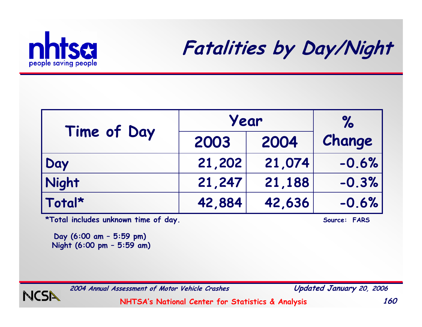

**Fatalities by Day/Night**

| Time of Day | Year   | $\%$   |         |
|-------------|--------|--------|---------|
|             | 2003   | 2004   | Change  |
| Day         | 21,202 | 21,074 | $-0.6%$ |
| Night       | 21,247 | 21,188 | $-0.3%$ |
| Total*      | 42,884 | 42,636 | $-0.6%$ |

\*Total includes unknown time of day. **Source: FARS** 

**Day (6:00 am – 5:59 pm) Night (6:00 pm – 5:59 am)**



**2004 Annual Assessment of Motor Vehicle Crashes Updated January 20, 2006**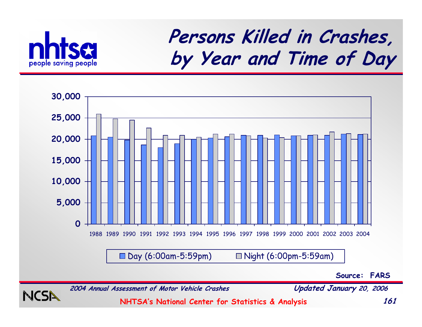

### **Persons Killed in Crashes, by Year and Time of Day**



**Source: FARS**

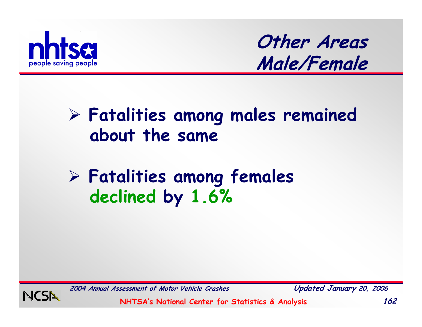

**Other Areas Male/Female**

#### ¾ **Fatalities among males remained about the same**

#### ¾ **Fatalities among females declined by 1.6%**



**2004 Annual Assessment of Motor Vehicle Crashes Updated January 20, 2006**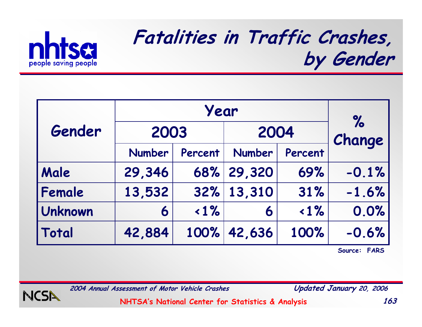

### **Fatalities in Traffic Crashes, by Gender**

|                | Year          |         |               |         | $\%$    |
|----------------|---------------|---------|---------------|---------|---------|
| Gender         | 2003          |         | 2004          |         | Change  |
|                | <b>Number</b> | Percent | <b>Number</b> | Percent |         |
| Male           | 29,346        | 68%     | 29,320        | 69%     | $-0.1%$ |
| Female         | 13,532        | 32%     | 13,310        | 31%     | $-1.6%$ |
| <b>Unknown</b> | 6             | $1\%$   | 6             | $1\%$   | 0.0%    |
| Total          | 42,884        | 100%    | 42,636        | 100%    | $-0.6%$ |

**Source: FARS**



**2004 Annual Assessment of Motor Vehicle Crashes Updated January 20, 2006**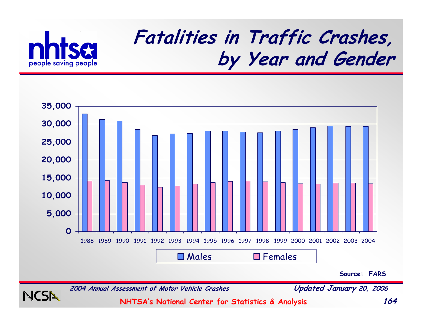

### **Fatalities in Traffic Crashes, by Year and Gender**



**Source: FARS**